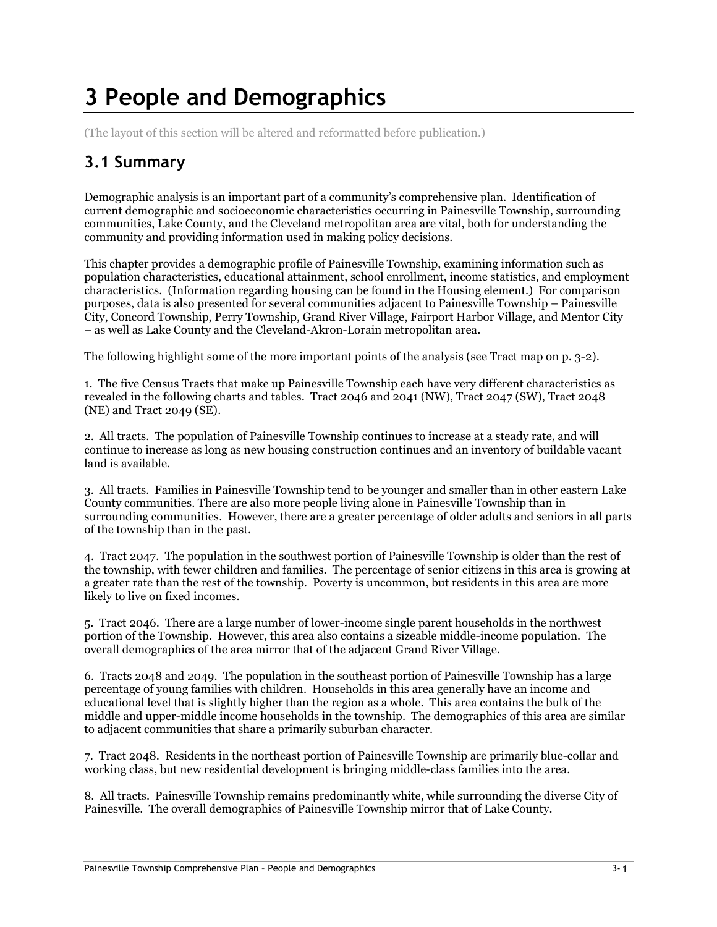# 3 People and Demographics

(The layout of this section will be altered and reformatted before publication.)

# 3.1 Summary

Demographic analysis is an important part of a community's comprehensive plan. Identification of current demographic and socioeconomic characteristics occurring in Painesville Township, surrounding communities, Lake County, and the Cleveland metropolitan area are vital, both for understanding the community and providing information used in making policy decisions.

This chapter provides a demographic profile of Painesville Township, examining information such as population characteristics, educational attainment, school enrollment, income statistics, and employment characteristics. (Information regarding housing can be found in the Housing element.) For comparison purposes, data is also presented for several communities adjacent to Painesville Township – Painesville City, Concord Township, Perry Township, Grand River Village, Fairport Harbor Village, and Mentor City – as well as Lake County and the Cleveland-Akron-Lorain metropolitan area.

The following highlight some of the more important points of the analysis (see Tract map on p. 3-2).

1. The five Census Tracts that make up Painesville Township each have very different characteristics as revealed in the following charts and tables. Tract 2046 and 2041 (NW), Tract 2047 (SW), Tract 2048 (NE) and Tract 2049 (SE).

2. All tracts. The population of Painesville Township continues to increase at a steady rate, and will continue to increase as long as new housing construction continues and an inventory of buildable vacant land is available.

3. All tracts. Families in Painesville Township tend to be younger and smaller than in other eastern Lake County communities. There are also more people living alone in Painesville Township than in surrounding communities. However, there are a greater percentage of older adults and seniors in all parts of the township than in the past.

4. Tract 2047. The population in the southwest portion of Painesville Township is older than the rest of the township, with fewer children and families. The percentage of senior citizens in this area is growing at a greater rate than the rest of the township. Poverty is uncommon, but residents in this area are more likely to live on fixed incomes.

5. Tract 2046. There are a large number of lower-income single parent households in the northwest portion of the Township. However, this area also contains a sizeable middle-income population. The overall demographics of the area mirror that of the adjacent Grand River Village.

6. Tracts 2048 and 2049. The population in the southeast portion of Painesville Township has a large percentage of young families with children. Households in this area generally have an income and educational level that is slightly higher than the region as a whole. This area contains the bulk of the middle and upper-middle income households in the township. The demographics of this area are similar to adjacent communities that share a primarily suburban character.

7. Tract 2048. Residents in the northeast portion of Painesville Township are primarily blue-collar and working class, but new residential development is bringing middle-class families into the area.

8. All tracts. Painesville Township remains predominantly white, while surrounding the diverse City of Painesville. The overall demographics of Painesville Township mirror that of Lake County.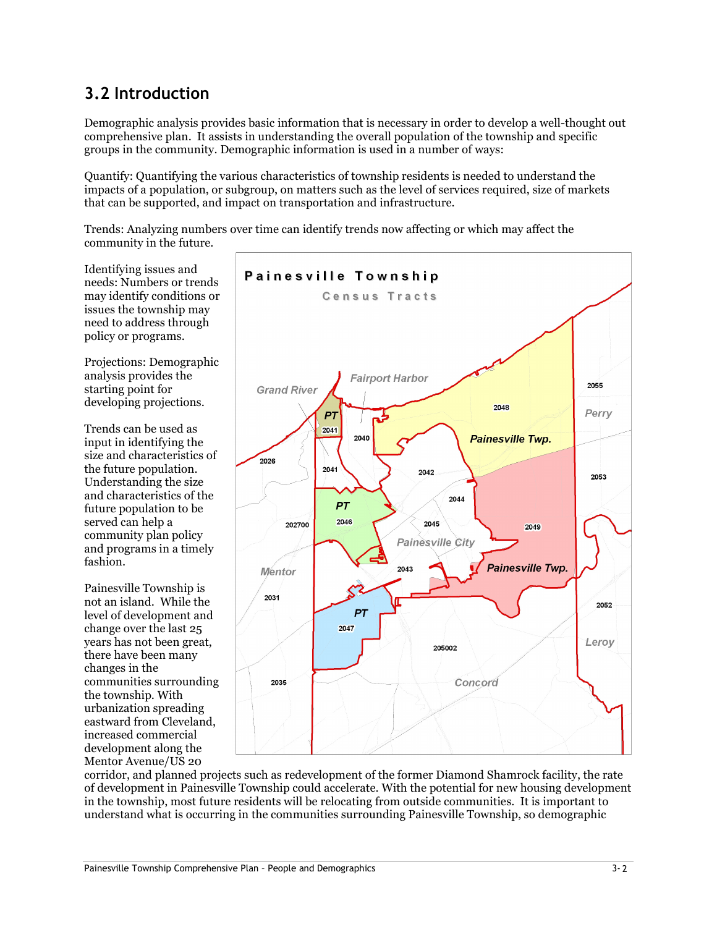# 3.2 Introduction

Demographic analysis provides basic information that is necessary in order to develop a well-thought out comprehensive plan. It assists in understanding the overall population of the township and specific groups in the community. Demographic information is used in a number of ways:

Quantify: Quantifying the various characteristics of township residents is needed to understand the impacts of a population, or subgroup, on matters such as the level of services required, size of markets that can be supported, and impact on transportation and infrastructure.

Trends: Analyzing numbers over time can identify trends now affecting or which may affect the community in the future.

Identifying issues and needs: Numbers or trends may identify conditions or issues the township may need to address through policy or programs.

Projections: Demographic analysis provides the starting point for developing projections.

Trends can be used as input in identifying the size and characteristics of the future population. Understanding the size and characteristics of the future population to be served can help a community plan policy and programs in a timely fashion.

Painesville Township is not an island. While the level of development and change over the last 25 years has not been great, there have been many changes in the communities surrounding the township. With urbanization spreading eastward from Cleveland, increased commercial development along the Mentor Avenue/US 20



corridor, and planned projects such as redevelopment of the former Diamond Shamrock facility, the rate of development in Painesville Township could accelerate. With the potential for new housing development in the township, most future residents will be relocating from outside communities. It is important to understand what is occurring in the communities surrounding Painesville Township, so demographic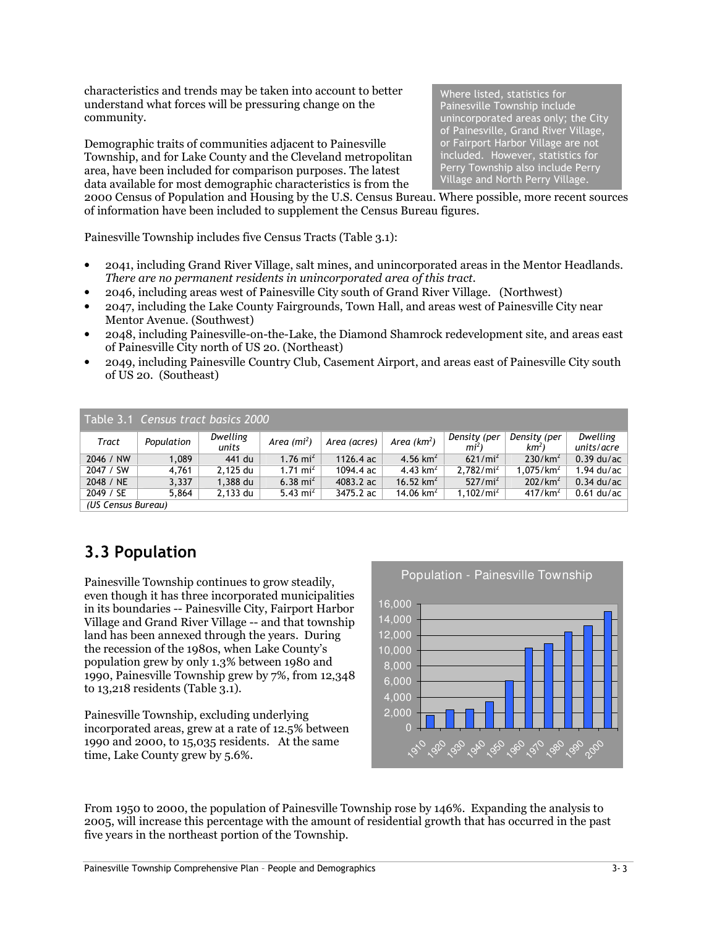characteristics and trends may be taken into account to better understand what forces will be pressuring change on the community.

Demographic traits of communities adjacent to Painesville Township, and for Lake County and the Cleveland metropolitan area, have been included for comparison purposes. The latest data available for most demographic characteristics is from the

Where listed, statistics for Painesville Township include unincorporated areas only; the City of Painesville, Grand River Village, or Fairport Harbor Village are not included. However, statistics for Perry Township also include Perry Village and North Perry Village.

2000 Census of Population and Housing by the U.S. Census Bureau. Where possible, more recent sources of information have been included to supplement the Census Bureau figures.

Painesville Township includes five Census Tracts (Table 3.1):

- 2041, including Grand River Village, salt mines, and unincorporated areas in the Mentor Headlands. There are no permanent residents in unincorporated area of this tract.
- 2046, including areas west of Painesville City south of Grand River Village. (Northwest)
- 2047, including the Lake County Fairgrounds, Town Hall, and areas west of Painesville City near Mentor Avenue. (Southwest)
- 2048, including Painesville-on-the-Lake, the Diamond Shamrock redevelopment site, and areas east of Painesville City north of US 20. (Northeast)
- 2049, including Painesville Country Club, Casement Airport, and areas east of Painesville City south of US 20. (Southeast)

|                    | Table 3.1 Census tract basics 2000 |                   |                 |              |               |                                 |                                 |                        |
|--------------------|------------------------------------|-------------------|-----------------|--------------|---------------|---------------------------------|---------------------------------|------------------------|
| Tract              | Population                         | Dwelling<br>units | Area ( $mi^2$ ) | Area (acres) | Area $(km^2)$ | Density (per<br>mi <sup>2</sup> | Density (per<br>km <sup>2</sup> | Dwelling<br>units/acre |
| 2046 / NW          | 1.089                              | 441 du            | 1.76 $mi^2$     | 1126.4 ac    | 4.56 $km^2$   | $621/mi^2$                      | 230/km <sup>2</sup>             | $0.39$ du/ac           |
| 2047 / SW          | 4.761                              | 2.125 du          | 1.71 $mi^2$     | 1094.4 ac    | 4.43 $km^2$   | 2,782/mi <sup>2</sup>           | 1.075/km <sup>2</sup>           | $1.94$ du/ac           |
| 2048 / NE          | 3.337                              | 1,388 du          | 6.38 $mi^2$     | 4083.2 ac    | 16.52 $km^2$  | $527/mi^2$                      | 202/km <sup>2</sup>             | $0.34$ du/ac           |
| 2049 / SE          | 5.864                              | 2,133 du          | 5.43 $mi^2$     | 3475.2 ac    | 14.06 $km^2$  | 1,102/mi <sup>2</sup>           | 417/km <sup>2</sup>             | $0.61$ du/ac           |
| (US Census Bureau) |                                    |                   |                 |              |               |                                 |                                 |                        |

# 3.3 Population

Painesville Township continues to grow steadily, even though it has three incorporated municipalities in its boundaries -- Painesville City, Fairport Harbor Village and Grand River Village -- and that township land has been annexed through the years. During the recession of the 1980s, when Lake County's population grew by only 1.3% between 1980 and 1990, Painesville Township grew by 7%, from 12,348 to 13,218 residents (Table 3.1).

Painesville Township, excluding underlying incorporated areas, grew at a rate of 12.5% between 1990 and 2000, to 15,035 residents. At the same time, Lake County grew by 5.6%.



From 1950 to 2000, the population of Painesville Township rose by 146%. Expanding the analysis to 2005, will increase this percentage with the amount of residential growth that has occurred in the past five years in the northeast portion of the Township.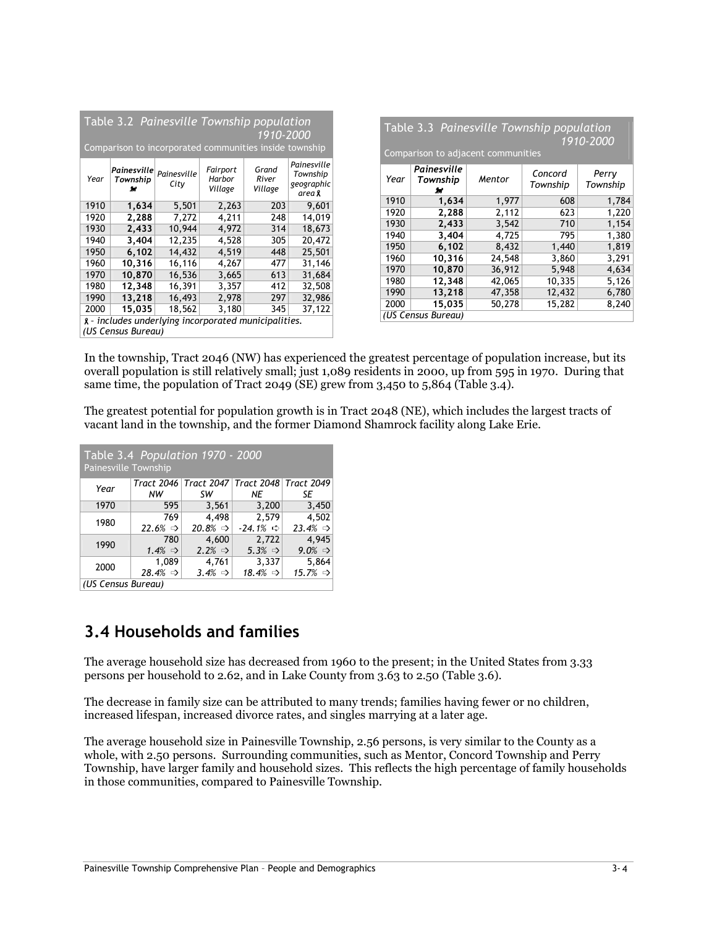|      |                                | Table 3.2 Painesville Township population<br>Comparison to incorporated communities inside township |                               | 1910-2000                 |                                                        |      | Comparison to adjacent communities |        | Table 3.3 Painesville Township population | 1910-2000         |
|------|--------------------------------|-----------------------------------------------------------------------------------------------------|-------------------------------|---------------------------|--------------------------------------------------------|------|------------------------------------|--------|-------------------------------------------|-------------------|
| Year | Painesville <br>Township<br>źг | Painesville<br>City                                                                                 | Fairport<br>Harbor<br>Village | Grand<br>River<br>Village | Painesville<br>Township<br>geographic<br>area <b>x</b> | Year | Painesville<br>Township<br>ж       | Mentor | Concord<br>Township                       | Perry<br>Township |
| 1910 | 1,634                          | 5,501                                                                                               | 2,263                         | 203                       | 9,601                                                  | 1910 | 1,634                              | 1,977  | 608                                       | 1,784             |
| 1920 | 2,288                          | 7,272                                                                                               | 4,211                         | 248                       | 14,019                                                 | 1920 | 2,288                              | 2,112  | 623                                       | 1,220             |
| 1930 | 2,433                          | 10,944                                                                                              | 4,972                         | 314                       | 18,673                                                 | 1930 | 2,433                              | 3,542  | 710                                       | 1,154             |
| 1940 | 3,404                          | 12,235                                                                                              | 4,528                         | 305                       | 20,472                                                 | 1940 | 3,404                              | 4,725  | 795                                       | 1,380             |
| 1950 | 6,102                          | 14,432                                                                                              | 4,519                         | 448                       | 25,501                                                 | 1950 | 6,102                              | 8,432  | 1,440                                     | 1,819             |
| 1960 | 10,316                         | 16,116                                                                                              | 4,267                         | 477                       | 31,146                                                 | 1960 | 10,316                             | 24,548 | 3,860                                     | 3,291             |
| 1970 | 10,870                         | 16,536                                                                                              | 3,665                         | 613                       | 31,684                                                 | 1970 | 10,870                             | 36,912 | 5,948                                     | 4,634             |
| 1980 | 12,348                         | 16,391                                                                                              | 3,357                         |                           | 32,508                                                 | 1980 | 12,348                             | 42,065 | 10,335                                    | 5,126             |
|      |                                |                                                                                                     |                               | 412                       |                                                        | 1990 | 13,218                             | 47,358 | 12,432                                    | 6,780             |
| 1990 | 13,218                         | 16,493                                                                                              | 2,978                         | 297                       | 32,986                                                 | 2000 | 15,035                             | 50,278 | 15,282                                    | 8,240             |
| 2000 | 15,035                         | 18,562                                                                                              | 3,180                         | 345                       | 37,122                                                 |      | (US Census Bureau)                 |        |                                           |                   |
|      |                                | g - includes underlying incorporated municipalities.                                                |                               |                           |                                                        |      |                                    |        |                                           |                   |
|      | (US Census Bureau)             |                                                                                                     |                               |                           |                                                        |      |                                    |        |                                           |                   |

In the township, Tract 2046 (NW) has experienced the greatest percentage of population increase, but its overall population is still relatively small; just 1,089 residents in 2000, up from 595 in 1970. During that same time, the population of Tract 2049 (SE) grew from 3,450 to 5,864 (Table 3.4).

The greatest potential for population growth is in Tract 2048 (NE), which includes the largest tracts of vacant land in the township, and the former Diamond Shamrock facility along Lake Erie.

| Painesville Township | Table 3.4 Population 1970 - 2000 |                               |                                                   |                      |
|----------------------|----------------------------------|-------------------------------|---------------------------------------------------|----------------------|
|                      |                                  |                               | Tract 2046   Tract 2047   Tract 2048   Tract 2049 |                      |
| Year                 | NW                               | SW                            | NF.                                               | SE                   |
| 1970                 | 595                              | 3,561                         | 3,200                                             | 3,450                |
|                      | 769                              |                               | 2.579                                             | 4,502                |
| 1980                 | $22.6\% \Rightarrow$             | 4,498<br>$20.8\% \Rightarrow$ | $-24.1\% \Rightarrow$                             | $23.4\% \Rightarrow$ |
| 1990                 | 780                              | 4,600                         | 2,722                                             | 4,945                |
|                      | $1.4\% \Rightarrow$              | $2.2\% \Rightarrow$           | $5.3\% \Rightarrow$                               | $9.0\% \Rightarrow$  |
| 2000                 | 1,089                            | 4,761                         | 3,337                                             | 5,864                |
|                      | $28.4\% \Rightarrow$             | $3.4\% \Rightarrow$           | 18.4% $\Rightarrow$                               | $15.7\% \Rightarrow$ |
| (IIS Consus Rurogu)  |                                  |                               |                                                   |                      |

(US Census Bureau)

# 3.4 Households and families

The average household size has decreased from 1960 to the present; in the United States from 3.33 persons per household to 2.62, and in Lake County from 3.63 to 2.50 (Table 3.6).

The decrease in family size can be attributed to many trends; families having fewer or no children, increased lifespan, increased divorce rates, and singles marrying at a later age.

The average household size in Painesville Township, 2.56 persons, is very similar to the County as a whole, with 2.50 persons. Surrounding communities, such as Mentor, Concord Township and Perry Township, have larger family and household sizes. This reflects the high percentage of family households in those communities, compared to Painesville Township.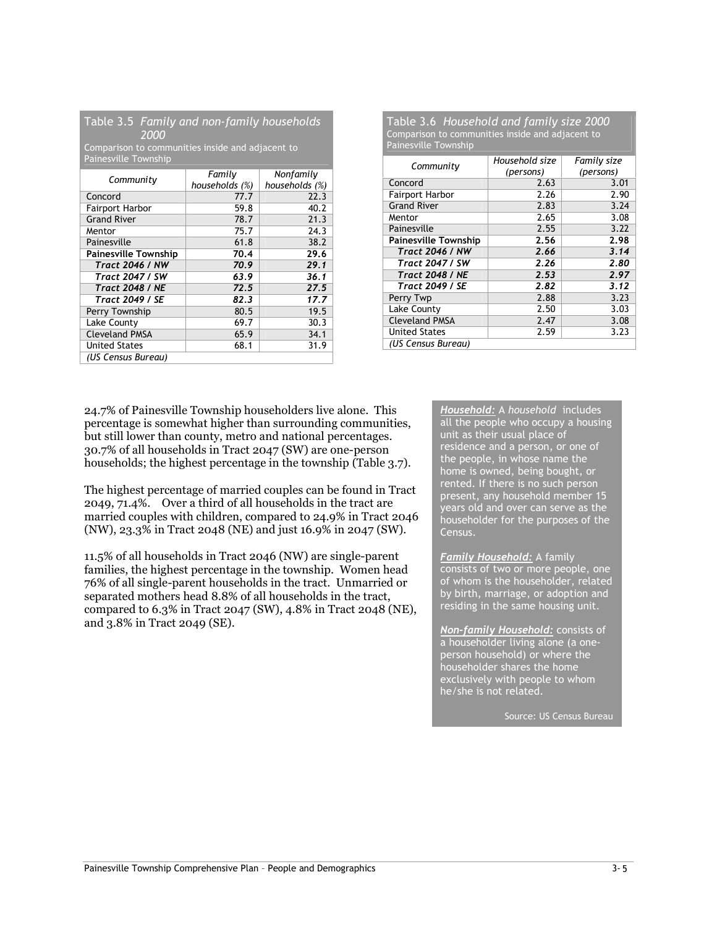|      |  | Table 3.5 Family and non-family households |
|------|--|--------------------------------------------|
| 2000 |  |                                            |

Comparison to communities inside and adjacent to Painesville Township

| Community                   | Family<br>households (%) | Nonfamily<br>households (%) |
|-----------------------------|--------------------------|-----------------------------|
| Concord                     | 77.7                     | 22.3                        |
| <b>Fairport Harbor</b>      | 59.8                     | 40.2                        |
| <b>Grand River</b>          | 78.7                     | 21.3                        |
| Mentor                      | 75.7                     | 24.3                        |
| Painesville                 | 61.8                     | 38.2                        |
| <b>Painesville Township</b> | 70.4                     | 29.6                        |
| <b>Tract 2046 / NW</b>      | 70.9                     | 29.1                        |
| <b>Tract 2047 / SW</b>      | 63.9                     | 36.1                        |
| <b>Tract 2048 / NE</b>      | 72.5                     | 27.5                        |
| <b>Tract 2049 / SE</b>      | 82.3                     | 17.7                        |
| Perry Township              | 80.5                     | 19.5                        |
| Lake County                 | 69.7                     | 30.3                        |
| <b>Cleveland PMSA</b>       | 65.9                     | 34.1                        |
| <b>United States</b>        | 68.1                     | 31.9                        |
| (US Census Bureau)          |                          |                             |

#### Table 3.6 Household and family size 2000 Comparison to communities inside and adjacent to Painesville Township

| Community                   | Household size | Family size |
|-----------------------------|----------------|-------------|
|                             | (persons)      | (persons)   |
| Concord                     | 2.63           | 3.01        |
| <b>Fairport Harbor</b>      | 2.26           | 2.90        |
| <b>Grand River</b>          | 2.83           | 3.24        |
| Mentor                      | 2.65           | 3.08        |
| Painesville                 | 2.55           | 3.22        |
| <b>Painesville Township</b> | 2.56           | 2.98        |
| <b>Tract 2046 / NW</b>      | 2.66           | 3.14        |
| <b>Tract 2047 / SW</b>      | 2.26           | 2.80        |
| <b>Tract 2048 / NE</b>      | 2.53           | 2.97        |
| <b>Tract 2049 / SE</b>      | 2.82           | 3.12        |
| Perry Twp                   | 2.88           | 3.23        |
| Lake County                 | 2.50           | 3.03        |
| <b>Cleveland PMSA</b>       | 2.47           | 3.08        |
| <b>United States</b>        | 2.59           | 3.23        |
| (US Census Bureau)          |                |             |
|                             |                |             |

24.7% of Painesville Township householders live alone. This percentage is somewhat higher than surrounding communities, but still lower than county, metro and national percentages. 30.7% of all households in Tract 2047 (SW) are one-person households; the highest percentage in the township (Table 3.7).

The highest percentage of married couples can be found in Tract 2049, 71.4%. Over a third of all households in the tract are married couples with children, compared to 24.9% in Tract 2046 (NW), 23.3% in Tract 2048 (NE) and just 16.9% in 2047 (SW).

11.5% of all households in Tract 2046 (NW) are single-parent families, the highest percentage in the township. Women head 76% of all single-parent households in the tract. Unmarried or separated mothers head 8.8% of all households in the tract, compared to 6.3% in Tract 2047 (SW), 4.8% in Tract 2048 (NE), and 3.8% in Tract 2049 (SE).

Household: A household includes all the people who occupy a housing unit as their usual place of residence and a person, or one of the people, in whose name the home is owned, being bought, or rented. If there is no such person present, any household member 15 years old and over can serve as the householder for the purposes of the Census.

Family Household: A family consists of two or more people, one of whom is the householder, related by birth, marriage, or adoption and residing in the same housing unit.

Non-family Household: consists of a householder living alone (a oneperson household) or where the householder shares the home exclusively with people to whom he/she is not related.

Source: US Census Bureau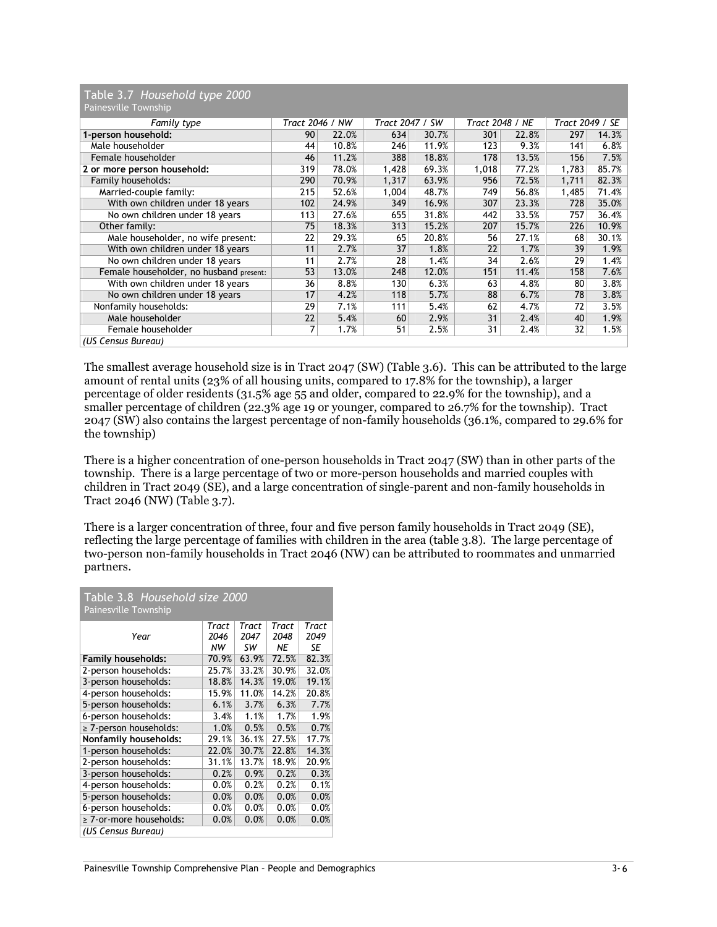|  | Table 3.7 Household type 2000 |  |
|--|-------------------------------|--|
|  | Painesville Township          |  |

| Painesville Township                    |                 |       |                 |       |                 |       |                 |       |
|-----------------------------------------|-----------------|-------|-----------------|-------|-----------------|-------|-----------------|-------|
| Family type                             | Tract 2046 / NW |       | Tract 2047 / SW |       | Tract 2048 / NE |       | Tract 2049 / SE |       |
| 1-person household:                     | 90              | 22.0% | 634             | 30.7% | 301             | 22.8% | 297             | 14.3% |
| Male householder                        | 44              | 10.8% | 246             | 11.9% | 123             | 9.3%  | 141             | 6.8%  |
| Female householder                      | 46              | 11.2% | 388             | 18.8% | 178             | 13.5% | 156             | 7.5%  |
| 2 or more person household:             | 319             | 78.0% | 1,428           | 69.3% | 1,018           | 77.2% | 1,783           | 85.7% |
| Family households:                      | 290             | 70.9% | 1,317           | 63.9% | 956             | 72.5% | 1,711           | 82.3% |
| Married-couple family:                  | 215             | 52.6% | 1,004           | 48.7% | 749             | 56.8% | 1,485           | 71.4% |
| With own children under 18 years        | 102             | 24.9% | 349             | 16.9% | 307             | 23.3% | 728             | 35.0% |
| No own children under 18 years          | 113             | 27.6% | 655             | 31.8% | 442             | 33.5% | 757             | 36.4% |
| Other family:                           | 75              | 18.3% | 313             | 15.2% | 207             | 15.7% | 226             | 10.9% |
| Male householder, no wife present:      | 22              | 29.3% | 65              | 20.8% | 56              | 27.1% | 68              | 30.1% |
| With own children under 18 years        | 11              | 2.7%  | 37              | 1.8%  | 22              | 1.7%  | 39              | 1.9%  |
| No own children under 18 years          | 11              | 2.7%  | 28              | 1.4%  | 34              | 2.6%  | 29              | 1.4%  |
| Female householder, no husband present: | 53              | 13.0% | 248             | 12.0% | 151             | 11.4% | 158             | 7.6%  |
| With own children under 18 years        | 36              | 8.8%  | 130             | 6.3%  | 63              | 4.8%  | 80              | 3.8%  |
| No own children under 18 years          | 17              | 4.2%  | 118             | 5.7%  | 88              | 6.7%  | 78              | 3.8%  |
| Nonfamily households:                   | 29              | 7.1%  | 111             | 5.4%  | 62              | 4.7%  | 72              | 3.5%  |
| Male householder                        | 22              | 5.4%  | 60              | 2.9%  | 31              | 2.4%  | 40              | 1.9%  |
| Female householder                      |                 | 1.7%  | 51              | 2.5%  | 31              | 2.4%  | 32              | 1.5%  |
| (US Census Bureau)                      |                 |       |                 |       |                 |       |                 |       |

The smallest average household size is in Tract 2047 (SW) (Table 3.6). This can be attributed to the large amount of rental units (23% of all housing units, compared to 17.8% for the township), a larger percentage of older residents (31.5% age 55 and older, compared to 22.9% for the township), and a smaller percentage of children (22.3% age 19 or younger, compared to 26.7% for the township). Tract 2047 (SW) also contains the largest percentage of non-family households (36.1%, compared to 29.6% for the township)

There is a higher concentration of one-person households in Tract 2047 (SW) than in other parts of the township. There is a large percentage of two or more-person households and married couples with children in Tract 2049 (SE), and a large concentration of single-parent and non-family households in Tract 2046 (NW) (Table 3.7).

There is a larger concentration of three, four and five person family households in Tract 2049 (SE), reflecting the large percentage of families with children in the area (table 3.8). The large percentage of two-person non-family households in Tract 2046 (NW) can be attributed to roommates and unmarried partners.

| Table 3.8 Household size 2000<br><b>Painesville Township</b> |               |               |               |               |  |  |  |  |
|--------------------------------------------------------------|---------------|---------------|---------------|---------------|--|--|--|--|
| Year                                                         | Tract<br>2046 | Tract<br>2047 | Tract<br>2048 | Tract<br>2049 |  |  |  |  |
|                                                              | NW            | SW            | NE            | SE            |  |  |  |  |
| <b>Family households:</b>                                    | 70.9%         | 63.9%         | 72.5%         | 82.3%         |  |  |  |  |
| 2-person households:                                         | 25.7%         | 33.2%         | 30.9%         | 32.0%         |  |  |  |  |
| 3-person households:                                         | 18.8%         | 14.3%         | 19.0%         | 19.1%         |  |  |  |  |
| 4-person households:                                         | 15.9%         | 11.0%         | 14.2%         | 20.8%         |  |  |  |  |
| 5-person households:                                         | 6.1%          | 3.7%          | 6.3%          | 7.7%          |  |  |  |  |
| 6-person households:                                         | 3.4%          | 1.1%          | 1.7%          | 1.9%          |  |  |  |  |
| ≥ 7-person households:                                       | 1.0%          | 0.5%          | 0.5%          | 0.7%          |  |  |  |  |
| Nonfamily households:                                        | 29.1%         | 36.1%         | 27.5%         | 17.7%         |  |  |  |  |
| 1-person households:                                         | 22.0%         | 30.7%         | 22.8%         | 14.3%         |  |  |  |  |
| 2-person households:                                         | 31.1%         | 13.7%         | 18.9%         | 20.9%         |  |  |  |  |
| 3-person households:                                         | 0.2%          | 0.9%          | 0.2%          | 0.3%          |  |  |  |  |
| 4-person households:                                         | 0.0%          | 0.2%          | 0.2%          | 0.1%          |  |  |  |  |
| 5-person households:                                         | 0.0%          | 0.0%          | 0.0%          | 0.0%          |  |  |  |  |
| 6-person households:                                         | 0.0%          | 0.0%          | 0.0%          | 0.0%          |  |  |  |  |
| ≥ 7-or-more households:                                      | 0.0%          | 0.0%          | 0.0%          | 0.0%          |  |  |  |  |
| (US Census Bureau)                                           |               |               |               |               |  |  |  |  |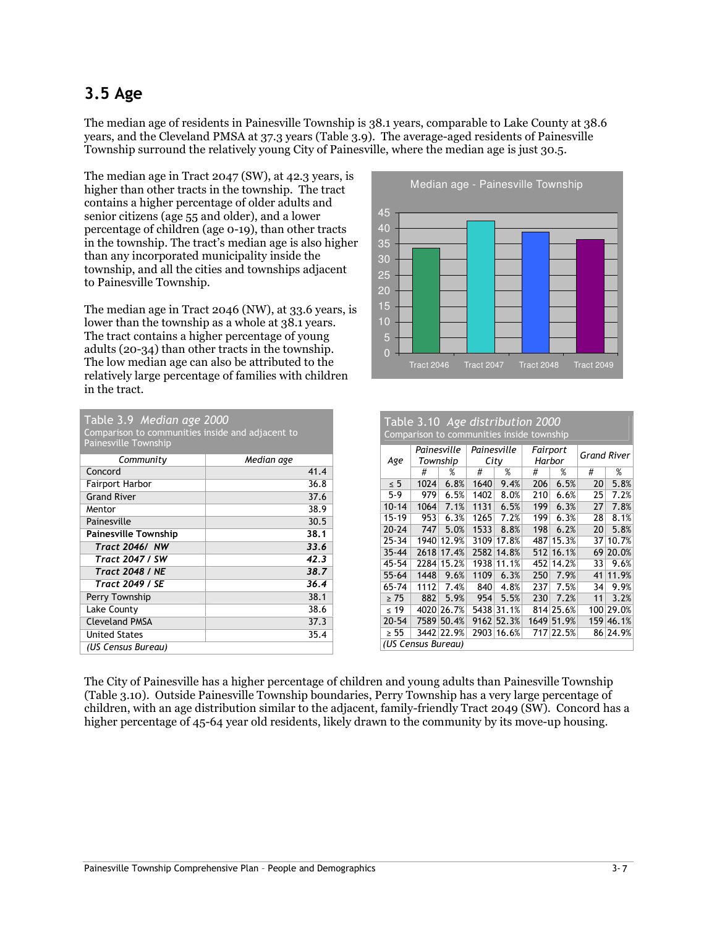# 3.5 Age

The median age of residents in Painesville Township is 38.1 years, comparable to Lake County at 38.6 years, and the Cleveland PMSA at 37.3 years (Table 3.9). The average-aged residents of Painesville Township surround the relatively young City of Painesville, where the median age is just 30.5.

The median age in Tract 2047 (SW), at 42.3 years, is higher than other tracts in the township. The tract contains a higher percentage of older adults and senior citizens (age 55 and older), and a lower percentage of children (age 0-19), than other tracts in the township. The tract's median age is also higher than any incorporated municipality inside the township, and all the cities and townships adjacent to Painesville Township.

The median age in Tract 2046 (NW), at 33.6 years, is lower than the township as a whole at 38.1 years. The tract contains a higher percentage of young adults (20-34) than other tracts in the township. The low median age can also be attributed to the relatively large percentage of families with children in the tract.

| Table 3.9 Median age 2000                        |            |
|--------------------------------------------------|------------|
| Comparison to communities inside and adjacent to |            |
| <b>Painesville Township</b>                      |            |
| Community                                        | Median age |
| Concord                                          | 41.4       |
| Fairport Harbor                                  | 36.8       |
| <b>Grand River</b>                               | 37.6       |
| Mentor                                           | 38.9       |
| Painesville                                      | 30.5       |
| <b>Painesville Township</b>                      | 38.1       |
| Tract 2046/ NW                                   | 33.6       |
| Tract 2047 / SW                                  | 42.3       |
| <b>Tract 2048 / NE</b>                           | 38.7       |
| <b>Tract 2049 / SE</b>                           | 36.4       |
| Perry Township                                   | 38.1       |
| Lake County                                      | 38.6       |
| <b>Cleveland PMSA</b>                            | 37.3       |
| <b>United States</b>                             | 35.4       |
| (US Census Bureau)                               |            |



| Table 3.10 Age distribution 2000<br>Comparison to communities inside township |      |                         |                     |       |                    |       |             |           |  |  |
|-------------------------------------------------------------------------------|------|-------------------------|---------------------|-------|--------------------|-------|-------------|-----------|--|--|
| Age                                                                           |      | Painesville<br>Township | Painesville<br>City |       | Fairport<br>Harbor |       | Grand River |           |  |  |
|                                                                               | #    | %                       | #                   | $\%$  | #                  | %     | #           | %         |  |  |
| $\leq 5$                                                                      | 1024 | 6.8%                    | 1640                | 9.4%  | 206                | 6.5%  | 20          | 5.8%      |  |  |
| $5-9$                                                                         | 979  | 6.5%                    | 1402                | 8.0%  | 210                | 6.6%  | 25          | 7.2%      |  |  |
| $10 - 14$                                                                     | 1064 | 7.1%                    | 1131                | 6.5%  | 199                | 6.3%  | 27          | 7.8%      |  |  |
| $15-19$                                                                       | 953  | 6.3%                    | 1265                | 7.2%  | 199                | 6.3%  | 28          | 8.1%      |  |  |
| $20 - 24$                                                                     | 747  | 5.0%                    | 1533                | 8.8%  | 198                | 6.2%  | 20          | 5.8%      |  |  |
| $25 - 34$                                                                     | 1940 | 12.9%                   | 3109                | 17.8% | 487                | 15.3% | 37          | 10.7%     |  |  |
| $35 - 44$                                                                     | 2618 | 17.4%                   | 2582                | 14.8% | 512                | 16.1% | 69          | 20.0%     |  |  |
| 45-54                                                                         | 2284 | 15.2%                   | 1938                | 11.1% | 452                | 14.2% | 33          | 9.6%      |  |  |
| $55 - 64$                                                                     | 1448 | 9.6%                    | 1109                | 6.3%  | 250                | 7.9%  | 41          | 11.9%     |  |  |
| 65-74                                                                         | 1112 | 7.4%                    | 840                 | 4.8%  | 237                | 7.5%  | 34          | 9.9%      |  |  |
| $\geq 75$                                                                     | 882  | 5.9%                    | 954                 | 5.5%  | 230                | 7.2%  | 11          | 3.2%      |  |  |
| $\leq 19$                                                                     | 4020 | 26.7%                   | 5438                | 31.1% | 814                | 25.6% |             | 100 29.0% |  |  |
| $20 - 54$                                                                     | 7589 | 50.4%                   | 9162                | 52.3% | 1649               | 51.9% | 159         | 46.1%     |  |  |
| $\geq 55$                                                                     | 3442 | 22.9%                   | 2903                | 16.6% | 717                | 22.5% |             | 86 24.9%  |  |  |
| (US Census Bureau)                                                            |      |                         |                     |       |                    |       |             |           |  |  |

The City of Painesville has a higher percentage of children and young adults than Painesville Township (Table 3.10). Outside Painesville Township boundaries, Perry Township has a very large percentage of children, with an age distribution similar to the adjacent, family-friendly Tract 2049 (SW). Concord has a higher percentage of 45-64 year old residents, likely drawn to the community by its move-up housing.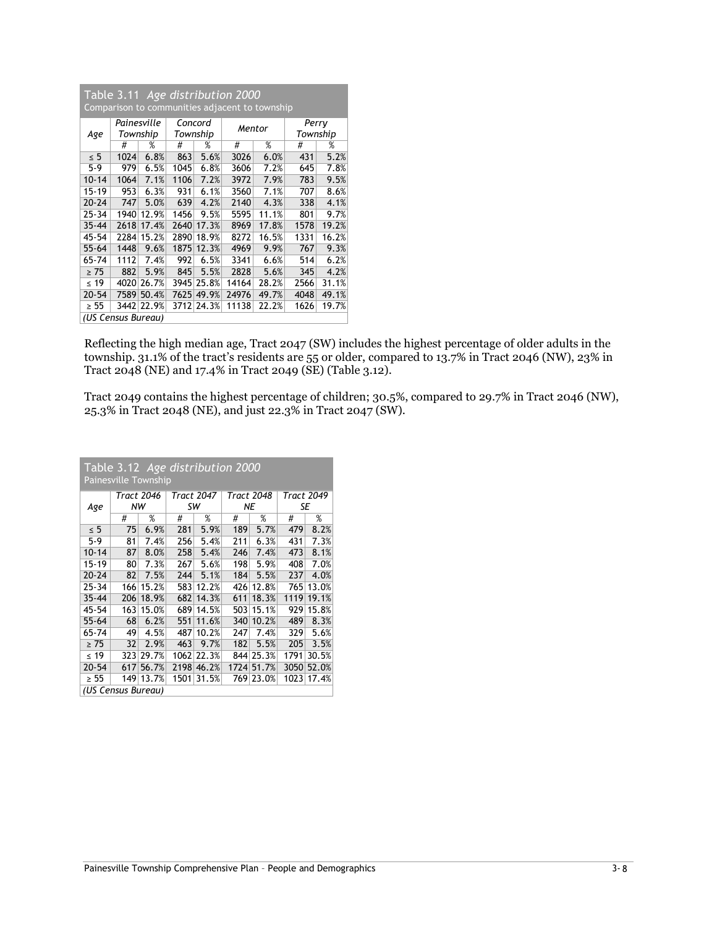| Table 3.11 Age distribution 2000<br>Comparison to communities adjacent to township |      |             |      |            |        |       |          |       |  |
|------------------------------------------------------------------------------------|------|-------------|------|------------|--------|-------|----------|-------|--|
|                                                                                    |      | Painesville |      | Concord    | Mentor |       | Perry    |       |  |
| Age                                                                                |      | Township    |      | Township   |        |       | Township |       |  |
|                                                                                    | #    | %           | #    | %          | #      | %     | #        | %     |  |
| $\leq 5$                                                                           | 1024 | 6.8%        | 863  | 5.6%       | 3026   | 6.0%  | 431      | 5.2%  |  |
| 5-9                                                                                | 979  | 6.5%        | 1045 | 6.8%       | 3606   | 7.2%  | 645      | 7.8%  |  |
| $10 - 14$                                                                          | 1064 | 7.1%        | 1106 | 7.2%       | 3972   | 7.9%  | 783      | 9.5%  |  |
| 15-19                                                                              | 953  | 6.3%        | 931  | 6.1%       | 3560   | 7.1%  | 707      | 8.6%  |  |
| $20 - 24$                                                                          | 747  | 5.0%        | 639  | 4.2%       | 2140   | 4.3%  | 338      | 4.1%  |  |
| $25 - 34$                                                                          | 1940 | 12.9%       | 1456 | 9.5%       | 5595   | 11.1% | 801      | 9.7%  |  |
| $35 - 44$                                                                          | 2618 | 17.4%       | 2640 | 17.3%      | 8969   | 17.8% | 1578     | 19.2% |  |
| 45-54                                                                              | 2284 | 15.2%       | 2890 | 18.9%      | 8272   | 16.5% | 1331     | 16.2% |  |
| $55 - 64$                                                                          | 1448 | 9.6%        | 1875 | 12.3%      | 4969   | 9.9%  | 767      | 9.3%  |  |
| 65-74                                                                              | 1112 | 7.4%        | 992  | 6.5%       | 3341   | 6.6%  | 514      | 6.2%  |  |
| $\geq 75$                                                                          | 882  | 5.9%        | 845  | 5.5%       | 2828   | 5.6%  | 345      | 4.2%  |  |
| ≤ 19                                                                               | 4020 | 26.7%       | 3945 | 25.8%      | 14164  | 28.2% | 2566     | 31.1% |  |
| $20 - 54$                                                                          | 7589 | 50.4%       | 7625 | 49.9%      | 24976  | 49.7% | 4048     | 49.1% |  |
| $\geq 55$                                                                          |      | 3442 22.9%  |      | 3712 24.3% | 11138  | 22.2% | 1626     | 19.7% |  |
| (US Census Bureau)                                                                 |      |             |      |            |        |       |          |       |  |

Reflecting the high median age, Tract 2047 (SW) includes the highest percentage of older adults in the township. 31.1% of the tract's residents are 55 or older, compared to 13.7% in Tract 2046 (NW), 23% in Tract 2048 (NE) and 17.4% in Tract 2049 (SE) (Table 3.12).

Tract 2049 contains the highest percentage of children; 30.5%, compared to 29.7% in Tract 2046 (NW), 25.3% in Tract 2048 (NE), and just 22.3% in Tract 2047 (SW).

| Table 3.12 Age distribution 2000<br><b>Painesville Township</b> |     |                  |      |                         |      |                         |                  |       |  |  |
|-----------------------------------------------------------------|-----|------------------|------|-------------------------|------|-------------------------|------------------|-------|--|--|
|                                                                 |     | Tract 2046<br>NW |      | <b>Tract 2047</b><br>SW |      | <b>Tract 2048</b><br>ΝE | Tract 2049<br>SE |       |  |  |
| Age                                                             | #   | $\%$             | #    | $\%$                    | #    | %                       | #                | $\%$  |  |  |
|                                                                 |     |                  |      |                         |      |                         |                  |       |  |  |
| $\leq 5$                                                        | 75  | 6.9%             | 281  | 5.9%                    | 189  | 5.7%                    | 479              | 8.2%  |  |  |
| $5-9$                                                           | 81  | 7.4%             | 256  | 5.4%                    | 211  | 6.3%                    | 431              | 7.3%  |  |  |
| $10 - 14$                                                       | 87  | 8.0%             | 258  | 5.4%                    | 246  | 7.4%                    | 473              | 8.1%  |  |  |
| 15-19                                                           | 80  | 7.3%             | 267  | 5.6%                    | 198  | 5.9%                    | 408              | 7.0%  |  |  |
| $20 - 24$                                                       | 82  | 7.5%             | 244  | 5.1%                    | 184  | 5.5%                    | 237              | 4.0%  |  |  |
| $25 - 34$                                                       | 166 | 15.2%            | 583  | 12.2%                   | 426  | 12.8%                   | 765              | 13.0% |  |  |
| $35 - 44$                                                       | 206 | 18.9%            | 682  | 14.3%                   | 611  | 18.3%                   | 1119             | 19.1% |  |  |
| 45-54                                                           | 163 | 15.0%            | 689  | 14.5%                   | 503  | 15.1%                   | 929              | 15.8% |  |  |
| $55 - 64$                                                       | 68  | 6.2%             | 551  | 11.6%                   | 340  | 10.2%                   | 489              | 8.3%  |  |  |
| 65-74                                                           | 49  | 4.5%             | 487  | 10.2%                   | 247  | 7.4%                    | 329              | 5.6%  |  |  |
| $\geq 75$                                                       | 32  | 2.9%             | 463  | 9.7%                    | 182  | 5.5%                    | 205              | 3.5%  |  |  |
| $\leq 19$                                                       | 323 | 29.7%            | 1062 | 22.3%                   |      | 844 25.3%               | 1791             | 30.5% |  |  |
| $20 - 54$                                                       | 617 | 56.7%            | 2198 | 46.2%                   | 1724 | 51.7%                   | 3050             | 52.0% |  |  |
| $\geq 55$                                                       | 149 | 13.7%            | 1501 | 31.5%                   |      | 769 23.0%               | 1023             | 17.4% |  |  |
| (US Census Bureau)                                              |     |                  |      |                         |      |                         |                  |       |  |  |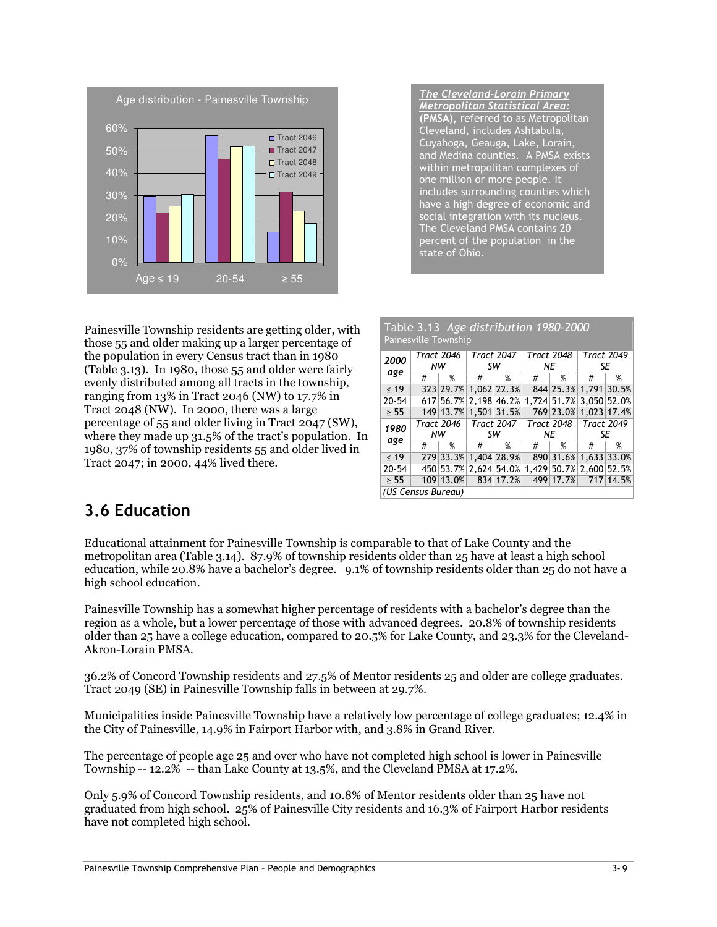

The Cleveland-Lorain Primary Metropolitan Statistical Area: (PMSA), referred to as Metropolitan Cleveland, includes Ashtabula, Cuyahoga, Geauga, Lake, Lorain, and Medina counties. A PMSA exists within metropolitan complexes of one million or more people. It includes surrounding counties which have a high degree of economic and social integration with its nucleus. The Cleveland PMSA contains 20 percent of the population in the state of Ohio.

Painesville Township residents are getting older, with those 55 and older making up a larger percentage of the population in every Census tract than in 1980 (Table 3.13). In 1980, those 55 and older were fairly evenly distributed among all tracts in the township, ranging from 13% in Tract 2046 (NW) to 17.7% in Tract 2048 (NW). In 2000, there was a large percentage of 55 and older living in Tract 2047 (SW), where they made up 31.5% of the tract's population. In 1980, 37% of township residents 55 and older lived in Tract 2047; in 2000, 44% lived there.

|                    | Table 3.13 Age distribution 1980-2000<br>Painesville Township |                   |                         |                   |   |                         |                         |                   |  |  |  |
|--------------------|---------------------------------------------------------------|-------------------|-------------------------|-------------------|---|-------------------------|-------------------------|-------------------|--|--|--|
| 2000               | <b>Tract 2046</b><br>NW                                       |                   | <b>Tract 2047</b><br>sw |                   |   | <b>Tract 2048</b><br>ΝE | <b>Tract 2049</b><br>SE |                   |  |  |  |
| age                | #                                                             | %                 | #                       | %                 | # | %                       | #                       | %                 |  |  |  |
| $\leq 19$          |                                                               | 323 29.7%         |                         | 1,062 22.3%       |   | 844 25.3%               |                         | 1.791 30.5%       |  |  |  |
| $20 - 54$          |                                                               | 617 56.7%         |                         | 2.198 46.2%       |   | 1.724 51.7%             |                         | 3.050 52.0%       |  |  |  |
| $\geq 55$          |                                                               | 149 13.7%         |                         | 1.501 31.5%       |   | 769 23.0%               |                         | 1.023 17.4%       |  |  |  |
| 1980               |                                                               | <b>Tract 2046</b> |                         | <b>Tract 2047</b> |   | <b>Tract 2048</b>       |                         | <b>Tract 2049</b> |  |  |  |
| age                |                                                               | NW                |                         | sw                |   | ΝE                      |                         | SE                |  |  |  |
|                    | #                                                             | %                 | #                       | %                 | # | %                       | #                       | %                 |  |  |  |
| $\leq 19$          |                                                               | 279 33.3%         |                         | 1.404 28.9%       |   | 890 31.6%               |                         | 1,633 33.0%       |  |  |  |
| $20 - 54$          |                                                               | 450 53.7%         |                         | 2.624 54.0%       |   | 1.429 50.7%             | 2.600 52.5%             |                   |  |  |  |
| $\geq 55$          |                                                               | 109 13.0%         |                         | 834 17.2%         |   | 499 17.7%               |                         | 717 14.5%         |  |  |  |
| (US Census Bureau) |                                                               |                   |                         |                   |   |                         |                         |                   |  |  |  |

 $T = \frac{1}{2}$ 

### 3.6 Education

Educational attainment for Painesville Township is comparable to that of Lake County and the metropolitan area (Table 3.14). 87.9% of township residents older than 25 have at least a high school education, while 20.8% have a bachelor's degree. 9.1% of township residents older than 25 do not have a high school education.

Painesville Township has a somewhat higher percentage of residents with a bachelor's degree than the region as a whole, but a lower percentage of those with advanced degrees. 20.8% of township residents older than 25 have a college education, compared to 20.5% for Lake County, and 23.3% for the Cleveland-Akron-Lorain PMSA.

36.2% of Concord Township residents and 27.5% of Mentor residents 25 and older are college graduates. Tract 2049 (SE) in Painesville Township falls in between at 29.7%.

Municipalities inside Painesville Township have a relatively low percentage of college graduates; 12.4% in the City of Painesville, 14.9% in Fairport Harbor with, and 3.8% in Grand River.

The percentage of people age 25 and over who have not completed high school is lower in Painesville Township -- 12.2% -- than Lake County at 13.5%, and the Cleveland PMSA at 17.2%.

Only 5.9% of Concord Township residents, and 10.8% of Mentor residents older than 25 have not graduated from high school. 25% of Painesville City residents and 16.3% of Fairport Harbor residents have not completed high school.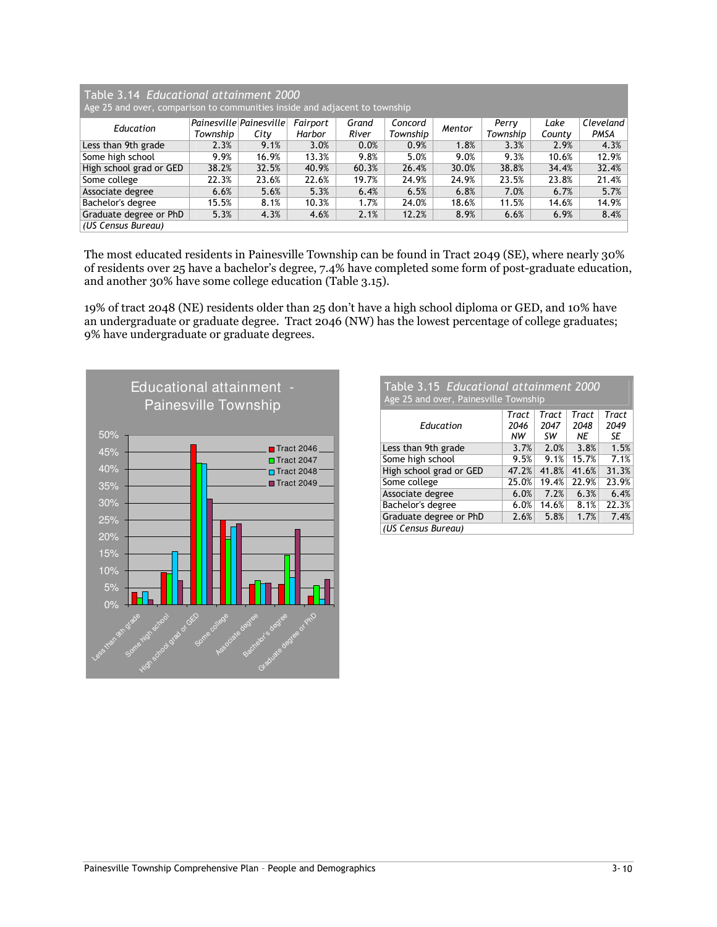| Table 3.14 Educational attainment 2000<br>Age 25 and over, comparison to communities inside and adjacent to township |          |                         |          |       |          |        |          |        |           |  |  |
|----------------------------------------------------------------------------------------------------------------------|----------|-------------------------|----------|-------|----------|--------|----------|--------|-----------|--|--|
| Education                                                                                                            |          | Painesville Painesville | Fairport | Grand | Concord  | Mentor | Perry    | Lake   | Cleveland |  |  |
|                                                                                                                      | Township | City                    | Harbor   | River | Township |        | Township | County | PMSA      |  |  |
| Less than 9th grade                                                                                                  | 2.3%     | 9.1%                    | 3.0%     | 0.0%  | 0.9%     | 1.8%   | 3.3%     | 2.9%   | 4.3%      |  |  |
| Some high school                                                                                                     | 9.9%     | 16.9%                   | 13.3%    | 9.8%  | 5.0%     | 9.0%   | 9.3%     | 10.6%  | 12.9%     |  |  |
| High school grad or GED                                                                                              | 38.2%    | 32.5%                   | 40.9%    | 60.3% | 26.4%    | 30.0%  | 38.8%    | 34.4%  | 32.4%     |  |  |
| Some college                                                                                                         | 22.3%    | 23.6%                   | 22.6%    | 19.7% | 24.9%    | 24.9%  | 23.5%    | 23.8%  | 21.4%     |  |  |
| Associate degree                                                                                                     | 6.6%     | 5.6%                    | 5.3%     | 6.4%  | 6.5%     | 6.8%   | 7.0%     | 6.7%   | 5.7%      |  |  |
| Bachelor's degree                                                                                                    | 15.5%    | 8.1%                    | 10.3%    | 1.7%  | 24.0%    | 18.6%  | 11.5%    | 14.6%  | 14.9%     |  |  |
| Graduate degree or PhD                                                                                               | 5.3%     | 4.3%                    | 4.6%     | 2.1%  | 12.2%    | 8.9%   | 6.6%     | 6.9%   | 8.4%      |  |  |
| (US Census Bureau)                                                                                                   |          |                         |          |       |          |        |          |        |           |  |  |

The most educated residents in Painesville Township can be found in Tract 2049 (SE), where nearly 30% of residents over 25 have a bachelor's degree, 7.4% have completed some form of post-graduate education, and another 30% have some college education (Table 3.15).

19% of tract 2048 (NE) residents older than 25 don't have a high school diploma or GED, and 10% have an undergraduate or graduate degree. Tract 2046 (NW) has the lowest percentage of college graduates; 9% have undergraduate or graduate degrees.



| Table 3.15 Educational attainment 2000 |  |
|----------------------------------------|--|
| Age 25 and over, Painesville Township  |  |

|                         | Tract | Tract | Tract | Tract |
|-------------------------|-------|-------|-------|-------|
| Education               | 2046  | 2047  | 2048  | 2049  |
|                         | NW    | SW    | ΝE    | SE    |
| Less than 9th grade     | 3.7%  | 2.0%  | 3.8%  | 1.5%  |
| Some high school        | 9.5%  | 9.1%  | 15.7% | 7.1%  |
| High school grad or GED | 47.2% | 41.8% | 41.6% | 31.3% |
| Some college            | 25.0% | 19.4% | 22.9% | 23.9% |
| Associate degree        | 6.0%  | 7.2%  | 6.3%  | 6.4%  |
| Bachelor's degree       | 6.0%  | 14.6% | 8.1%  | 22.3% |
| Graduate degree or PhD  | 2.6%  | 5.8%  | 1.7%  | 7.4%  |
| (US Census Bureau)      |       |       |       |       |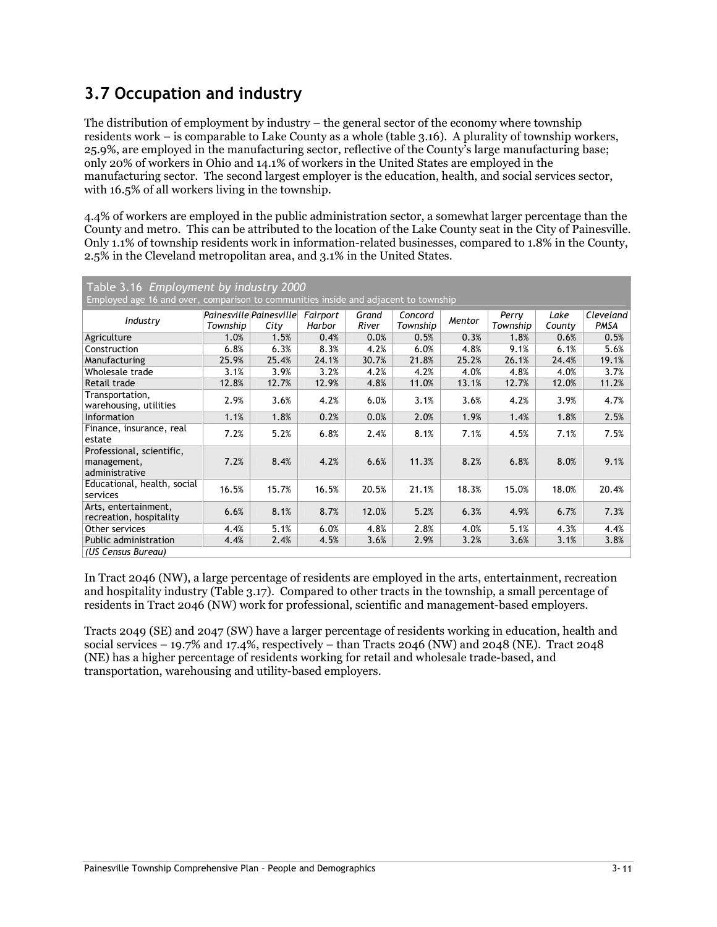# 3.7 Occupation and industry

The distribution of employment by industry – the general sector of the economy where township residents work – is comparable to Lake County as a whole (table 3.16). A plurality of township workers, 25.9%, are employed in the manufacturing sector, reflective of the County's large manufacturing base; only 20% of workers in Ohio and 14.1% of workers in the United States are employed in the manufacturing sector. The second largest employer is the education, health, and social services sector, with 16.5% of all workers living in the township.

4.4% of workers are employed in the public administration sector, a somewhat larger percentage than the County and metro. This can be attributed to the location of the Lake County seat in the City of Painesville. Only 1.1% of township residents work in information-related businesses, compared to 1.8% in the County, 2.5% in the Cleveland metropolitan area, and 3.1% in the United States.

| Table 3.16 Employment by industry 2000                     |                                                                                     |       |                    |                |                     |        |                   |                |                   |  |  |
|------------------------------------------------------------|-------------------------------------------------------------------------------------|-------|--------------------|----------------|---------------------|--------|-------------------|----------------|-------------------|--|--|
|                                                            | Employed age 16 and over, comparison to communities inside and adjacent to township |       |                    |                |                     |        |                   |                |                   |  |  |
| Industry                                                   | Painesville Painesville<br>Township                                                 | City  | Fairport<br>Harbor | Grand<br>River | Concord<br>Township | Mentor | Perry<br>Township | Lake<br>County | Cleveland<br>PMSA |  |  |
| Agriculture                                                | 1.0%                                                                                | 1.5%  | 0.4%               | 0.0%           | 0.5%                | 0.3%   | 1.8%              | 0.6%           | 0.5%              |  |  |
| Construction                                               | 6.8%                                                                                | 6.3%  | 8.3%               | 4.2%           | 6.0%                | 4.8%   | 9.1%              | 6.1%           | 5.6%              |  |  |
| Manufacturing                                              | 25.9%                                                                               | 25.4% | 24.1%              | 30.7%          | 21.8%               | 25.2%  | 26.1%             | 24.4%          | 19.1%             |  |  |
| Wholesale trade                                            | 3.1%                                                                                | 3.9%  | 3.2%               | 4.2%           | 4.2%                | 4.0%   | 4.8%              | 4.0%           | 3.7%              |  |  |
| Retail trade                                               | 12.8%                                                                               | 12.7% | 12.9%              | 4.8%           | 11.0%               | 13.1%  | 12.7%             | 12.0%          | 11.2%             |  |  |
| Transportation,<br>warehousing, utilities                  | 2.9%                                                                                | 3.6%  | 4.2%               | 6.0%           | 3.1%                | 3.6%   | 4.2%              | 3.9%           | 4.7%              |  |  |
| <b>Information</b>                                         | 1.1%                                                                                | 1.8%  | 0.2%               | 0.0%           | 2.0%                | 1.9%   | 1.4%              | 1.8%           | 2.5%              |  |  |
| Finance, insurance, real<br>estate                         | 7.2%                                                                                | 5.2%  | 6.8%               | 2.4%           | 8.1%                | 7.1%   | 4.5%              | 7.1%           | 7.5%              |  |  |
| Professional, scientific,<br>management,<br>administrative | 7.2%                                                                                | 8.4%  | 4.2%               | 6.6%           | 11.3%               | 8.2%   | 6.8%              | 8.0%           | 9.1%              |  |  |
| Educational, health, social<br>services                    | 16.5%                                                                               | 15.7% | 16.5%              | 20.5%          | 21.1%               | 18.3%  | 15.0%             | 18.0%          | 20.4%             |  |  |
| Arts, entertainment,<br>recreation, hospitality            | 6.6%                                                                                | 8.1%  | 8.7%               | 12.0%          | 5.2%                | 6.3%   | 4.9%              | 6.7%           | 7.3%              |  |  |
| Other services                                             | 4.4%                                                                                | 5.1%  | 6.0%               | 4.8%           | 2.8%                | 4.0%   | 5.1%              | 4.3%           | 4.4%              |  |  |
| Public administration                                      | 4.4%                                                                                | 2.4%  | 4.5%               | 3.6%           | 2.9%                | 3.2%   | 3.6%              | 3.1%           | 3.8%              |  |  |
| (US Census Bureau)                                         |                                                                                     |       |                    |                |                     |        |                   |                |                   |  |  |

In Tract 2046 (NW), a large percentage of residents are employed in the arts, entertainment, recreation and hospitality industry (Table 3.17). Compared to other tracts in the township, a small percentage of residents in Tract 2046 (NW) work for professional, scientific and management-based employers.

Tracts 2049 (SE) and 2047 (SW) have a larger percentage of residents working in education, health and social services – 19.7% and 17.4%, respectively – than Tracts 2046 (NW) and 2048 (NE). Tract 2048 (NE) has a higher percentage of residents working for retail and wholesale trade-based, and transportation, warehousing and utility-based employers.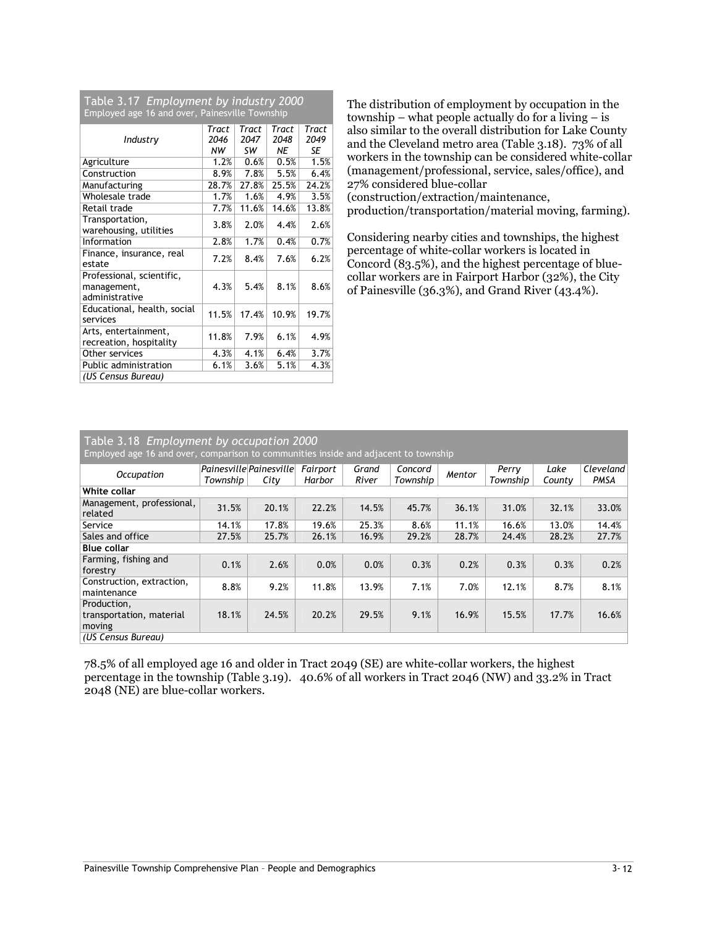| Table 3.17 Employment by industry 2000         |
|------------------------------------------------|
| Employed age 16 and over, Painesville Township |

| Linproved age to and over, ramesville township |       |       |       |       |  |  |  |  |  |
|------------------------------------------------|-------|-------|-------|-------|--|--|--|--|--|
|                                                | Tract | Tract | Tract | Tract |  |  |  |  |  |
| Industry                                       | 2046  | 2047  | 2048  | 2049  |  |  |  |  |  |
|                                                | NW    | SW    | ΝE    | SE    |  |  |  |  |  |
| Agriculture                                    | 1.2%  | 0.6%  | 0.5%  | 1.5%  |  |  |  |  |  |
| Construction                                   | 8.9%  | 7.8%  | 5.5%  | 6.4%  |  |  |  |  |  |
| Manufacturing                                  | 28.7% | 27.8% | 25.5% | 24.2% |  |  |  |  |  |
| Wholesale trade                                | 1.7%  | 1.6%  | 4.9%  | 3.5%  |  |  |  |  |  |
| Retail trade                                   | 7.7%  | 11.6% | 14.6% | 13.8% |  |  |  |  |  |
| Transportation,                                | 3.8%  | 2.0%  | 4.4%  | 2.6%  |  |  |  |  |  |
| warehousing, utilities                         |       |       |       |       |  |  |  |  |  |
| Information                                    | 2.8%  | 1.7%  | 0.4%  | 0.7%  |  |  |  |  |  |
| Finance, insurance, real                       | 7.2%  | 8.4%  | 7.6%  | 6.2%  |  |  |  |  |  |
| estate                                         |       |       |       |       |  |  |  |  |  |
| Professional, scientific,                      |       |       |       |       |  |  |  |  |  |
| management,                                    | 4.3%  | 5.4%  | 8.1%  | 8.6%  |  |  |  |  |  |
| administrative                                 |       |       |       |       |  |  |  |  |  |
| Educational, health, social                    | 11.5% | 17.4% | 10.9% | 19.7% |  |  |  |  |  |
| services                                       |       |       |       |       |  |  |  |  |  |
| Arts, entertainment,                           | 11.8% | 7.9%  | 6.1%  | 4.9%  |  |  |  |  |  |
| recreation, hospitality                        |       |       |       |       |  |  |  |  |  |
| Other services                                 | 4.3%  | 4.1%  | 6.4%  | 3.7%  |  |  |  |  |  |
| Public administration                          | 6.1%  | 3.6%  | 5.1%  | 4.3%  |  |  |  |  |  |
| (US Census Bureau)                             |       |       |       |       |  |  |  |  |  |

The distribution of employment by occupation in the township – what people actually do for a living – is also similar to the overall distribution for Lake County and the Cleveland metro area (Table 3.18). 73% of all workers in the township can be considered white-collar (management/professional, service, sales/office), and 27% considered blue-collar (construction/extraction/maintenance,

production/transportation/material moving, farming).

Considering nearby cities and townships, the highest percentage of white-collar workers is located in Concord (83.5%), and the highest percentage of bluecollar workers are in Fairport Harbor (32%), the City of Painesville (36.3%), and Grand River (43.4%).

#### Table 3.18 Employment by occupation 2000

| Employed age 16 and over, comparison to communities inside and adjacent to township |          |                                  |                    |                |                     |        |                   |                |                   |  |
|-------------------------------------------------------------------------------------|----------|----------------------------------|--------------------|----------------|---------------------|--------|-------------------|----------------|-------------------|--|
| Occupation                                                                          | Township | Painesville Painesville <br>City | Fairport<br>Harbor | Grand<br>River | Concord<br>Township | Mentor | Perry<br>Township | Lake<br>County | Cleveland<br>PMSA |  |
| White collar                                                                        |          |                                  |                    |                |                     |        |                   |                |                   |  |
| Management, professional,<br>related                                                | 31.5%    | 20.1%                            | 22.2%              | 14.5%          | 45.7%               | 36.1%  | 31.0%             | 32.1%          | 33.0%             |  |
| Service                                                                             | 14.1%    | 17.8%                            | 19.6%              | 25.3%          | 8.6%                | 11.1%  | 16.6%             | 13.0%          | 14.4%             |  |
| Sales and office                                                                    | 27.5%    | 25.7%                            | 26.1%              | 16.9%          | 29.2%               | 28.7%  | 24.4%             | 28.2%          | 27.7%             |  |
| <b>Blue collar</b>                                                                  |          |                                  |                    |                |                     |        |                   |                |                   |  |
| Farming, fishing and<br>forestry                                                    | 0.1%     | 2.6%                             | 0.0%               | 0.0%           | 0.3%                | 0.2%   | 0.3%              | 0.3%           | 0.2%              |  |
| Construction, extraction,<br>maintenance                                            | 8.8%     | 9.2%                             | 11.8%              | 13.9%          | 7.1%                | 7.0%   | 12.1%             | 8.7%           | 8.1%              |  |
| Production,                                                                         |          |                                  |                    |                |                     |        |                   |                |                   |  |
| transportation, material<br>moving                                                  | 18.1%    | 24.5%                            | 20.2%              | 29.5%          | 9.1%                | 16.9%  | 15.5%             | 17.7%          | 16.6%             |  |
| (US Census Bureau)                                                                  |          |                                  |                    |                |                     |        |                   |                |                   |  |

78.5% of all employed age 16 and older in Tract 2049 (SE) are white-collar workers, the highest percentage in the township (Table 3.19). 40.6% of all workers in Tract 2046 (NW) and 33.2% in Tract 2048 (NE) are blue-collar workers.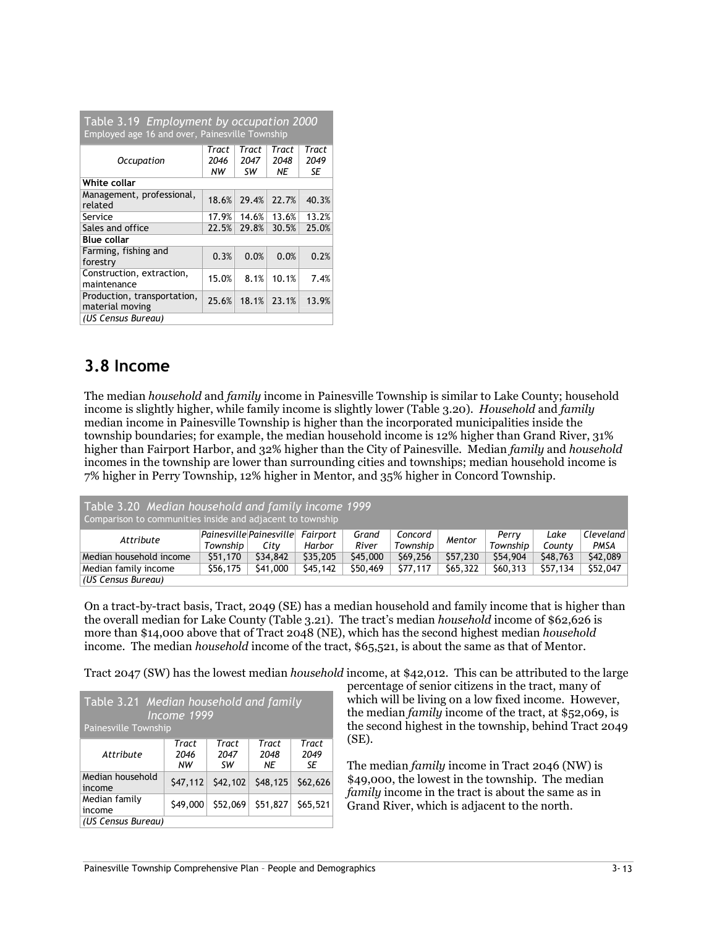| Table 3.19 Employment by occupation 2000<br>Employed age 16 and over, Painesville Township |                     |                     |                     |                     |  |  |  |  |  |
|--------------------------------------------------------------------------------------------|---------------------|---------------------|---------------------|---------------------|--|--|--|--|--|
| <b>Occupation</b>                                                                          | Tract<br>2046<br>NW | Tract<br>2047<br>SW | Tract<br>2048<br>ΝE | Tract<br>2049<br>SE |  |  |  |  |  |
| White collar                                                                               |                     |                     |                     |                     |  |  |  |  |  |
| Management, professional,<br>related                                                       | 18.6%               | 29.4%               | 22.7%               | 40.3%               |  |  |  |  |  |
| Service                                                                                    | 17.9%               | 14.6%               | 13.6%               | 13.2%               |  |  |  |  |  |
| Sales and office                                                                           | 22.5%               | 29.8%               | 30.5%               | 25.0%               |  |  |  |  |  |
| <b>Blue collar</b>                                                                         |                     |                     |                     |                     |  |  |  |  |  |
| Farming, fishing and<br>forestry                                                           | 0.3%                | 0.0%                | 0.0%                | 0.2%                |  |  |  |  |  |
| Construction, extraction,<br>maintenance                                                   | 15.0%               | 8.1%                | 10.1%               | 7.4%                |  |  |  |  |  |
| Production, transportation,<br>material moving                                             | 25.6%               | 18.1%               | 23.1%               | 13.9%               |  |  |  |  |  |
| (US Census Bureau)                                                                         |                     |                     |                     |                     |  |  |  |  |  |

### 3.8 Income

The median household and family income in Painesville Township is similar to Lake County; household income is slightly higher, while family income is slightly lower (Table 3.20). Household and family median income in Painesville Township is higher than the incorporated municipalities inside the township boundaries; for example, the median household income is 12% higher than Grand River, 31% higher than Fairport Harbor, and 32% higher than the City of Painesville. Median family and household incomes in the township are lower than surrounding cities and townships; median household income is 7% higher in Perry Township, 12% higher in Mentor, and 35% higher in Concord Township.

| Table 3.20 Median household and family income 1999<br>Comparison to communities inside and adjacent to township |          |                                          |          |                |                     |          |                   |                |                     |
|-----------------------------------------------------------------------------------------------------------------|----------|------------------------------------------|----------|----------------|---------------------|----------|-------------------|----------------|---------------------|
| Attribute                                                                                                       | Township | Painesville Painesville Fairport<br>City | Harbor   | Grand<br>River | Concord<br>Township | Mentor   | Perry<br>Township | Lake<br>County | C level and<br>PMSA |
| Median household income                                                                                         | \$51,170 | \$34,842                                 | \$35,205 | \$45,000       | \$69,256            | \$57,230 | \$54,904          | \$48,763       | \$42,089            |
| Median family income                                                                                            | \$56,175 | \$41,000                                 | \$45,142 | S50,469        | \$77,117            | \$65,322 | \$60,313          | \$57,134       | \$52,047            |
| (US Census Bureau)                                                                                              |          |                                          |          |                |                     |          |                   |                |                     |

On a tract-by-tract basis, Tract, 2049 (SE) has a median household and family income that is higher than the overall median for Lake County (Table 3.21). The tract's median household income of \$62,626 is more than \$14,000 above that of Tract 2048 (NE), which has the second highest median *household* income. The median *household* income of the tract, \$65,521, is about the same as that of Mentor.

Tract 2047 (SW) has the lowest median household income, at \$42,012. This can be attributed to the large

| Table 3.21 Median household and family<br>Income 1999<br>Painesville Township |                     |                     |                     |                     |  |  |  |  |  |
|-------------------------------------------------------------------------------|---------------------|---------------------|---------------------|---------------------|--|--|--|--|--|
| Attribute                                                                     | Tract<br>2046<br>NW | Tract<br>2047<br>sw | Tract<br>2048<br>ΝE | Tract<br>2049<br>SE |  |  |  |  |  |
| Median household<br>income                                                    | \$47,112            | \$42,102            | \$48,125            | \$62,626            |  |  |  |  |  |
| Median family<br>income                                                       | \$49,000            | \$52,069            | \$51,827            | \$65,521            |  |  |  |  |  |
| (US Census Bureau)                                                            |                     |                     |                     |                     |  |  |  |  |  |

percentage of senior citizens in the tract, many of which will be living on a low fixed income. However, the median family income of the tract, at \$52,069, is the second highest in the township, behind Tract 2049 (SE).

The median family income in Tract 2046 (NW) is \$49,000, the lowest in the township. The median family income in the tract is about the same as in Grand River, which is adjacent to the north.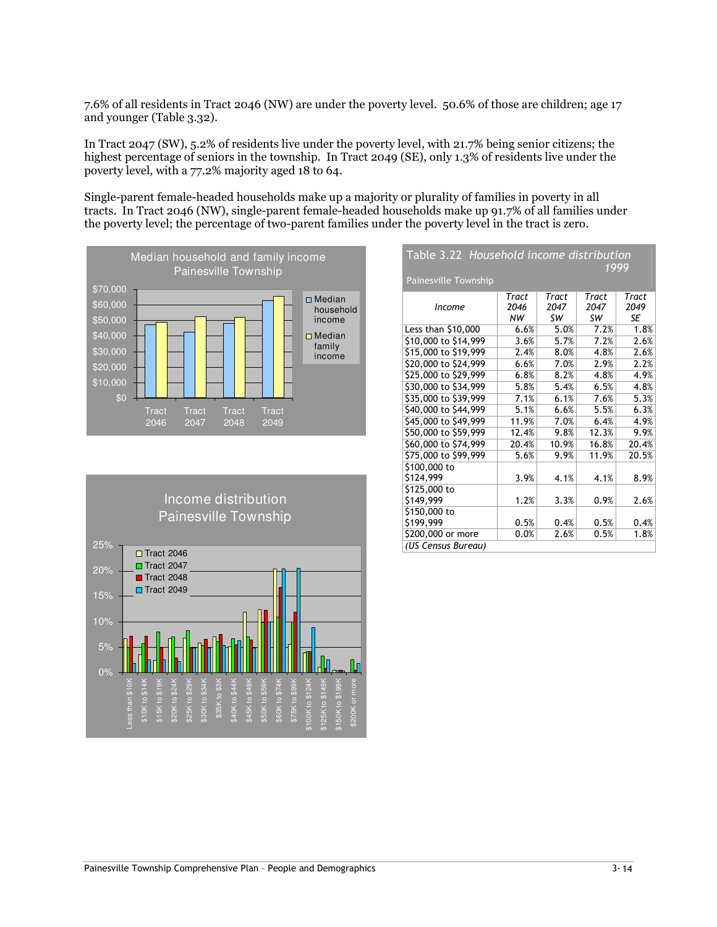7.6% of all residents in Tract 2046 (NW) are under the poverty level. 50.6% of those are children; age 17 and younger (Table 3.32).

In Tract 2047 (SW), 5.2% of residents live under the poverty level, with 21.7% being senior citizens; the highest percentage of seniors in the township. In Tract 2049 (SE), only 1.3% of residents live under the poverty level, with a 77.2% majority aged 18 to 64.

Single-parent female-headed households make up a majority or plurality of families in poverty in all tracts. In Tract 2046 (NW), single-parent female-headed households make up 91.7% of all families under the poverty level; the percentage of two-parent families under the poverty level in the tract is zero.



| ----                        | <u>TIOUSCHOUTHUOING UISCHDUCION</u> |       |       | 1999  |
|-----------------------------|-------------------------------------|-------|-------|-------|
| <b>Painesville Township</b> |                                     |       |       |       |
|                             | Tract                               | Tract | Tract | Tract |
| <b>Income</b>               | 2046                                | 2047  | 2047  | 2049  |
|                             | NW                                  | SW    | SW    | SE    |
| Less than \$10,000          | 6.6%                                | 5.0%  | 7.2%  | 1.8%  |
| \$10,000 to \$14,999        | 3.6%                                | 5.7%  | 7.2%  | 2.6%  |
| \$15,000 to \$19,999        | 2.4%                                | 8.0%  | 4.8%  | 2.6%  |
| \$20,000 to \$24,999        | 6.6%                                | 7.0%  | 2.9%  | 2.2%  |
| \$25,000 to \$29,999        | 6.8%                                | 8.2%  | 4.8%  | 4.9%  |
| \$30,000 to \$34,999        | 5.8%                                | 5.4%  | 6.5%  | 4.8%  |
| \$35,000 to \$39,999        | 7.1%                                | 6.1%  | 7.6%  | 5.3%  |
| \$40,000 to \$44,999        | 5.1%                                | 6.6%  | 5.5%  | 6.3%  |
| \$45,000 to \$49,999        | 11.9%                               | 7.0%  | 6.4%  | 4.9%  |
| \$50,000 to \$59,999        | 12.4%                               | 9.8%  | 12.3% | 9.9%  |
| \$60,000 to \$74,999        | 20.4%                               | 10.9% | 16.8% | 20.4% |
| \$75,000 to \$99,999        | 5.6%                                | 9.9%  | 11.9% | 20.5% |
| \$100,000 to                |                                     |       |       |       |
| \$124.999                   | 3.9%                                | 4.1%  | 4.1%  | 8.9%  |
| \$125,000 to                |                                     |       |       |       |
| \$149,999                   | 1.2%                                | 3.3%  | 0.9%  | 2.6%  |
| \$150,000 to                |                                     |       |       |       |
| \$199,999                   | 0.5%                                | 0.4%  | 0.5%  | 0.4%  |
| \$200,000 or more           | 0.0%                                | 2.6%  | 0.5%  | 1.8%  |
| (US Census Bureau)          |                                     |       |       |       |

Table 3.22 Household income distribution

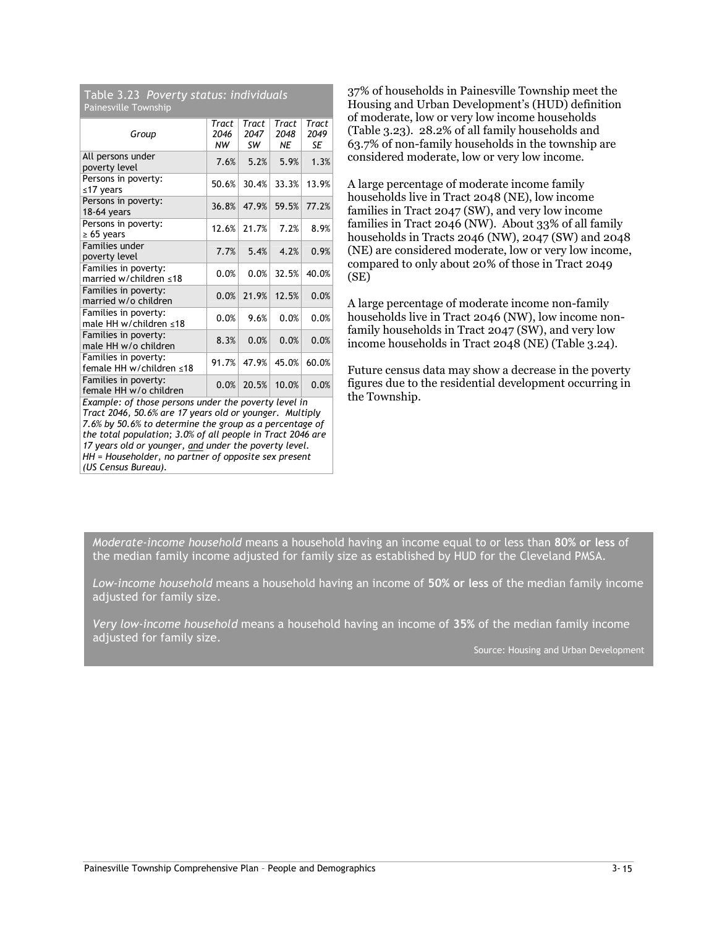Table 3.23 Poverty status: individuals Painesville Township

| Group                                            | Tract<br>2046<br>NW | Tract<br>2047<br>sw | Tract<br>2048<br>ΝE | Tract<br>2049<br>SE |
|--------------------------------------------------|---------------------|---------------------|---------------------|---------------------|
| All persons under<br>poverty level               | 7.6%                | 5.2%                | 5.9%                | 1.3%                |
| Persons in poverty:<br>≤17 years                 | 50.6%               | 30.4%               | 33.3%               | 13.9%               |
| Persons in poverty:<br>$18-64$ years             | 36.8%               | 47.9%               | 59.5%               | 77.2%               |
| Persons in poverty:<br>$\geq 65$ years           | 12.6%               | 21.7%               | 7.2%                | 8.9%                |
| <b>Families under</b><br>poverty level           | 7.7%                | 5.4%                | 4.2%                | 0.9%                |
| Families in poverty:<br>married w/children ≤18   | 0.0%                | 0.0%                | 32.5%               | 40.0%               |
| Families in poverty:<br>married w/o children     | 0.0%                | 21.9%               | 12.5%               | 0.0%                |
| Families in poverty:<br>male HH w/children ≤18   | 0.0%                | 9.6%                | 0.0%                | 0.0%                |
| Families in poverty:<br>male HH w/o children     | 8.3%                | 0.0%                | 0.0%                | 0.0%                |
| Families in poverty:<br>female HH w/children ≤18 | 91.7%               | 47.9%               | 45.0%               | 60.0%               |
| Families in poverty:<br>female HH w/o children   | 0.0%                | 20.5%               | 10.0%               | 0.0%                |

Example: of those persons under the poverty level in Tract 2046, 50.6% are 17 years old or younger. Multiply 7.6% by 50.6% to determine the group as a percentage of the total population; 3.0% of all people in Tract 2046 are 17 years old or younger, and under the poverty level. HH = Householder, no partner of opposite sex present (US Census Bureau).

37% of households in Painesville Township meet the Housing and Urban Development's (HUD) definition of moderate, low or very low income households (Table 3.23). 28.2% of all family households and 63.7% of non-family households in the township are considered moderate, low or very low income.

A large percentage of moderate income family households live in Tract 2048 (NE), low income families in Tract 2047 (SW), and very low income families in Tract 2046 (NW). About 33% of all family households in Tracts 2046 (NW), 2047 (SW) and 2048 (NE) are considered moderate, low or very low income, compared to only about 20% of those in Tract 2049 (SE)

A large percentage of moderate income non-family households live in Tract 2046 (NW), low income nonfamily households in Tract 2047 (SW), and very low income households in Tract 2048 (NE) (Table 3.24).

Future census data may show a decrease in the poverty figures due to the residential development occurring in the Township.

Moderate-income household means a household having an income equal to or less than 80% or less of the median family income adjusted for family size as established by HUD for the Cleveland PMSA.

Low-income household means a household having an income of 50% or less of the median family income adjusted for family size.

Very low-income household means a household having an income of 35% of the median family income adjusted for family size.

Source: Housing and Urban Development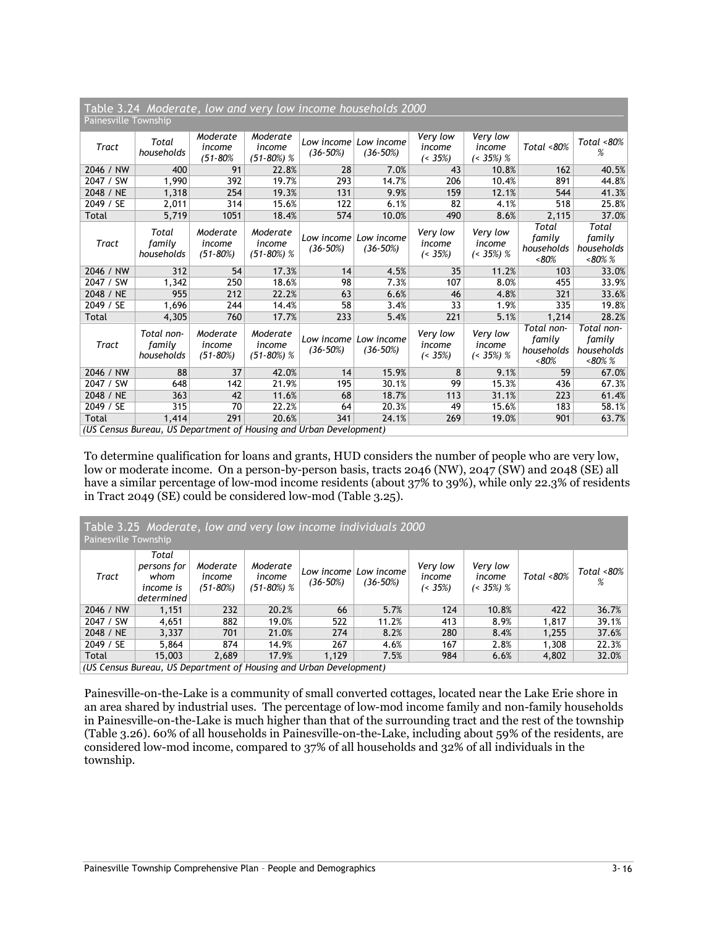| Table 3.24 Moderate, low and very low income households 2000<br>Painesville Township |                                    |                                    |                                    |                                                                             |                                     |                                   |                                      |                                                 |                                                  |  |  |
|--------------------------------------------------------------------------------------|------------------------------------|------------------------------------|------------------------------------|-----------------------------------------------------------------------------|-------------------------------------|-----------------------------------|--------------------------------------|-------------------------------------------------|--------------------------------------------------|--|--|
| Tract                                                                                | Total<br>households                | Moderate<br>income<br>$(51 - 80\%$ | Moderate<br>income<br>$(51-80%) %$ | $(36-50%)$                                                                  | Low income Low income<br>$(36-50%)$ | Very low<br>income<br>$( < 35\%)$ | Very low<br>income<br>$($ < 35%) %   | Total <80%                                      | Total <80%<br>%                                  |  |  |
| 2046 / NW                                                                            | 400                                | 91                                 | 22.8%                              | 28                                                                          | 7.0%                                | 43                                | 10.8%                                | 162                                             | 40.5%                                            |  |  |
| 2047 / SW                                                                            | 1,990                              | 392                                | 19.7%                              | 293                                                                         | 14.7%                               | 206                               | 10.4%                                | 891                                             | 44.8%                                            |  |  |
| 2048 / NE                                                                            | 1,318                              | 254                                | 19.3%                              | 131                                                                         | 9.9%                                | 159                               | 12.1%                                | 544                                             | 41.3%                                            |  |  |
| 2049 / SE                                                                            | 2,011                              | 314                                | 15.6%                              | 122                                                                         | 6.1%                                | 82                                | 4.1%                                 | 518                                             | 25.8%                                            |  |  |
| Total                                                                                | 5,719                              | 1051                               | 18.4%                              | 574                                                                         | 10.0%                               | 490                               | 8.6%                                 | 2,115                                           | 37.0%                                            |  |  |
| Tract                                                                                | Total<br>family<br>households      | Moderate<br>income<br>$(51 - 80%)$ | Moderate<br>income<br>$(51-80%) %$ | $(36-50%)$                                                                  | Low income Low income<br>$(36-50%)$ | Very low<br>income<br>$( < 35\%)$ | Very low<br>income<br>$($ < 35%) $%$ | Total<br>family<br>households<br>$~< 80\%$      | Total<br>family<br>households<br>$~180\%$ %      |  |  |
| 2046 / NW                                                                            | 312                                | 54                                 | 17.3%                              | 14                                                                          | 4.5%                                | 35                                | 11.2%                                | 103                                             | 33.0%                                            |  |  |
| 2047 / SW                                                                            | 1,342                              | 250                                | 18.6%                              | 98                                                                          | 7.3%                                | 107                               | 8.0%                                 | 455                                             | 33.9%                                            |  |  |
| 2048 / NE                                                                            | 955                                | 212                                | 22.2%                              | 63                                                                          | 6.6%                                | 46                                | 4.8%                                 | 321                                             | 33.6%                                            |  |  |
| 2049 / SE                                                                            | 1,696                              | 244                                | 14.4%                              | 58                                                                          | 3.4%                                | 33                                | 1.9%                                 | 335                                             | 19.8%                                            |  |  |
| Total                                                                                | 4,305                              | 760                                | 17.7%                              | 233                                                                         | 5.4%                                | 221                               | 5.1%                                 | 1,214                                           | 28.2%                                            |  |  |
| Tract                                                                                | Total non-<br>family<br>households | Moderate<br>income<br>$(51 - 80%)$ | Moderate<br>income<br>$(51-80%) %$ | $(36-50%)$                                                                  | Low income Low income<br>$(36-50%)$ | Very low<br>income<br>$( < 35\%)$ | Very low<br>income<br>$($ < 35%) %   | Total non-<br>family<br>households<br>$~< 80\%$ | Total non-<br>family<br>households<br>$~<$ 80% % |  |  |
| 2046 / NW                                                                            | 88                                 | 37                                 | 42.0%                              | 14                                                                          | 15.9%                               | 8                                 | 9.1%                                 | 59                                              | 67.0%                                            |  |  |
| 2047 / SW                                                                            | 648                                | 142                                | 21.9%                              | 195                                                                         | 30.1%                               | 99                                | 15.3%                                | 436                                             | 67.3%                                            |  |  |
| 2048 / NE                                                                            | 363                                | 42                                 | 11.6%                              | 68                                                                          | 18.7%                               | 113                               | 31.1%                                | 223                                             | 61.4%                                            |  |  |
| 2049 / SE                                                                            | 315                                | 70                                 | 22.2%                              | 64                                                                          | 20.3%                               | 49                                | 15.6%                                | 183                                             | 58.1%                                            |  |  |
| Total                                                                                | 1,414                              | 291                                | 20.6%                              | 341<br>(IIS Census Rureau, IIS Department of Housing and Urban Development) | 24.1%                               | 269                               | 19.0%                                | 901                                             | 63.7%                                            |  |  |

(US Census Bureau, US Department of Housing and Urban Development)

To determine qualification for loans and grants, HUD considers the number of people who are very low, low or moderate income. On a person-by-person basis, tracts 2046 (NW), 2047 (SW) and 2048 (SE) all have a similar percentage of low-mod income residents (about 37% to 39%), while only 22.3% of residents in Tract 2049 (SE) could be considered low-mod (Table 3.25).

| Table 3.25 Moderate, low and very low income individuals 2000<br>Painesville Township |                                                                          |                                    |                                     |                          |                          |                                   |                                 |            |                                   |  |  |
|---------------------------------------------------------------------------------------|--------------------------------------------------------------------------|------------------------------------|-------------------------------------|--------------------------|--------------------------|-----------------------------------|---------------------------------|------------|-----------------------------------|--|--|
| Tract                                                                                 | Total<br>persons for<br>whom<br>income is<br>determined                  | Moderate<br>income<br>$(51 - 80%)$ | Moderate<br>income<br>$(51-80\%)$ % | Low income<br>$(36-50%)$ | Low income<br>$(36-50%)$ | Very low<br>income<br>$( < 35\%)$ | Very low<br>income<br>(< 35%) % | Total <80% | Total $\langle 80\% \rangle$<br>% |  |  |
| 2046 / NW                                                                             | 1,151                                                                    | 232                                | 20.2%                               | 66                       | 5.7%                     | 124                               | 10.8%                           | 422        | 36.7%                             |  |  |
| 2047 / SW                                                                             | 4,651                                                                    | 882                                | 19.0%                               | 522                      | 11.2%                    | 413                               | 8.9%                            | 1,817      | 39.1%                             |  |  |
| 2048 / NE                                                                             | 3,337                                                                    | 701                                | 21.0%                               | 274                      | 8.2%                     | 280                               | 8.4%                            | 1,255      | 37.6%                             |  |  |
| 2049 / SE                                                                             | 5,864                                                                    | 874                                | 14.9%                               | 267                      | 4.6%                     | 167                               | 2.8%                            | 1,308      | 22.3%                             |  |  |
| Total                                                                                 | 15,003                                                                   | 2,689                              | 17.9%                               | 1,129                    | 7.5%                     | 984                               | 6.6%                            | 4,802      | 32.0%                             |  |  |
|                                                                                       | $\mu$ (US Census Bureau, US Department of Housing and Urban Development) |                                    |                                     |                          |                          |                                   |                                 |            |                                   |  |  |

Painesville-on-the-Lake is a community of small converted cottages, located near the Lake Erie shore in an area shared by industrial uses. The percentage of low-mod income family and non-family households in Painesville-on-the-Lake is much higher than that of the surrounding tract and the rest of the township (Table 3.26). 60% of all households in Painesville-on-the-Lake, including about 59% of the residents, are considered low-mod income, compared to 37% of all households and 32% of all individuals in the township.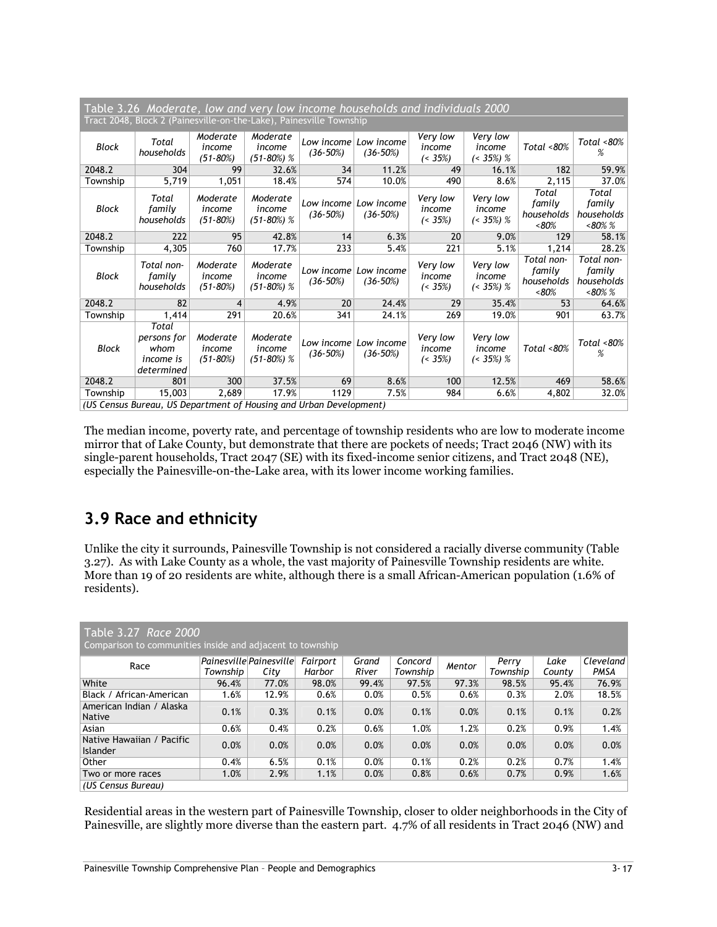| Table 3.26 Moderate, low and very low income households and individuals 2000<br>Tract 2048, Block 2 (Painesville-on-the-Lake), Painesville Township |                                                                    |                                    |                                    |                            |                                       |                                   |                                      |                                            |                                                  |  |  |
|-----------------------------------------------------------------------------------------------------------------------------------------------------|--------------------------------------------------------------------|------------------------------------|------------------------------------|----------------------------|---------------------------------------|-----------------------------------|--------------------------------------|--------------------------------------------|--------------------------------------------------|--|--|
| Block                                                                                                                                               | Total<br>households                                                | Moderate<br>income<br>$(51 - 80%)$ | Moderate<br>income<br>$(51-80%) %$ | $(36-50%)$                 | Low income   Low income<br>$(36-50%)$ | Very low<br>income<br>$( < 35\%)$ | Very low<br>income<br>$($ < 35%) $%$ | Total $<80\%$                              | Total <80%<br>%                                  |  |  |
| 2048.2                                                                                                                                              | 304                                                                | 99                                 | 32.6%                              | 34                         | 11.2%                                 | 49                                | 16.1%                                | 182                                        | 59.9%                                            |  |  |
| Township                                                                                                                                            | 5,719                                                              | 1,051                              | 18.4%                              | 574                        | 10.0%                                 | 490                               | 8.6%                                 | 2,115                                      | 37.0%                                            |  |  |
| <b>Block</b>                                                                                                                                        | Total<br>family<br>households                                      | Moderate<br>income<br>$(51 - 80%)$ | Moderate<br>income<br>$(51-80%) %$ | Low income<br>$(36 - 50%)$ | Low income<br>$(36-50%)$              | Very low<br>income<br>$( < 35\%)$ | Very low<br>income<br>$($ < 35%) $%$ | Total<br>family<br>households<br>$~<$ 80%  | Total<br>family<br>households<br>$~<$ 80% %      |  |  |
| 2048.2                                                                                                                                              | 222                                                                | 95                                 | 42.8%                              | 14                         | 6.3%                                  | 20                                | 9.0%                                 | 129                                        | 58.1%                                            |  |  |
| Township                                                                                                                                            | 4,305                                                              | 760                                | 17.7%                              | 233                        | 5.4%                                  | $\overline{221}$                  | 5.1%                                 | 1,214                                      | 28.2%                                            |  |  |
| Block                                                                                                                                               | Total non-<br>family<br>households                                 | Moderate<br>income<br>$(51 - 80%)$ | Moderate<br>income<br>$(51-80%) %$ | $(36-50%)$                 | Low income Low income<br>$(36-50%)$   | Very low<br>income<br>$( < 35\%)$ | Very low<br>income<br>$($ < 35%) $%$ | Total non-<br>family<br>households<br>&50% | Total non-<br>family<br>households<br>$~<$ 80% % |  |  |
| 2048.2                                                                                                                                              | 82                                                                 | 4                                  | 4.9%                               | 20 <sup>2</sup>            | 24.4%                                 | 29                                | 35.4%                                | 53                                         | 64.6%                                            |  |  |
| Township                                                                                                                                            | 1,414                                                              | 291                                | 20.6%                              | 341                        | 24.1%                                 | 269                               | 19.0%                                | 901                                        | 63.7%                                            |  |  |
| Block                                                                                                                                               | Total<br>persons for<br>whom<br><i>income is</i><br>determined     | Moderate<br>income<br>$(51 - 80%)$ | Moderate<br>income<br>$(51-80%) %$ | $(36-50%)$                 | Low income Low income<br>$(36-50%)$   | Very low<br>income<br>$( < 35\%)$ | Very low<br>income<br>$($ < 35%) $%$ | Total $<80\%$                              | Total <80%<br>%                                  |  |  |
| 2048.2                                                                                                                                              | 801                                                                | 300                                | 37.5%                              | 69                         | 8.6%                                  | 100                               | 12.5%                                | 469                                        | 58.6%                                            |  |  |
| Township                                                                                                                                            | 15,003                                                             | 2,689                              | 17.9%                              | 1129                       | 7.5%                                  | 984                               | 6.6%                                 | 4,802                                      | 32.0%                                            |  |  |
|                                                                                                                                                     | (US Census Bureau, US Department of Housing and Urban Development) |                                    |                                    |                            |                                       |                                   |                                      |                                            |                                                  |  |  |

The median income, poverty rate, and percentage of township residents who are low to moderate income mirror that of Lake County, but demonstrate that there are pockets of needs; Tract 2046 (NW) with its single-parent households, Tract 2047 (SE) with its fixed-income senior citizens, and Tract 2048 (NE), especially the Painesville-on-the-Lake area, with its lower income working families.

# 3.9 Race and ethnicity

Unlike the city it surrounds, Painesville Township is not considered a racially diverse community (Table 3.27). As with Lake County as a whole, the vast majority of Painesville Township residents are white. More than 19 of 20 residents are white, although there is a small African-American population (1.6% of residents).

| Table 3.27 Race 2000<br>Comparison to communities inside and adjacent to township |          |                                        |                    |                |                     |        |                   |                |                   |  |
|-----------------------------------------------------------------------------------|----------|----------------------------------------|--------------------|----------------|---------------------|--------|-------------------|----------------|-------------------|--|
| Race                                                                              | Township | $ P\alpha $ <i>Painesville</i><br>City | Fairport<br>Harbor | Grand<br>River | Concord<br>Township | Mentor | Perry<br>Township | Lake<br>County | Cleveland<br>PMSA |  |
| White                                                                             | 96.4%    | 77.0%                                  | 98.0%              | 99.4%          | 97.5%               | 97.3%  | 98.5%             | 95.4%          | 76.9%             |  |
| Black / African-American                                                          | 1.6%     | 12.9%                                  | 0.6%               | 0.0%           | 0.5%                | 0.6%   | 0.3%              | 2.0%           | 18.5%             |  |
| American Indian / Alaska<br>Native                                                | 0.1%     | 0.3%                                   | 0.1%               | 0.0%           | 0.1%                | 0.0%   | 0.1%              | 0.1%           | 0.2%              |  |
| Asian                                                                             | 0.6%     | 0.4%                                   | 0.2%               | 0.6%           | 1.0%                | 1.2%   | 0.2%              | 0.9%           | 1.4%              |  |
| Native Hawaiian / Pacific<br>Islander                                             | 0.0%     | 0.0%                                   | 0.0%               | 0.0%           | 0.0%                | 0.0%   | 0.0%              | 0.0%           | 0.0%              |  |
| Other                                                                             | 0.4%     | 6.5%                                   | 0.1%               | 0.0%           | 0.1%                | 0.2%   | 0.2%              | 0.7%           | 1.4%              |  |
| Two or more races                                                                 | 1.0%     | 2.9%                                   | 1.1%               | 0.0%           | 0.8%                | 0.6%   | 0.7%              | 0.9%           | 1.6%              |  |
| (US Census Bureau)                                                                |          |                                        |                    |                |                     |        |                   |                |                   |  |

Residential areas in the western part of Painesville Township, closer to older neighborhoods in the City of Painesville, are slightly more diverse than the eastern part. 4.7% of all residents in Tract 2046 (NW) and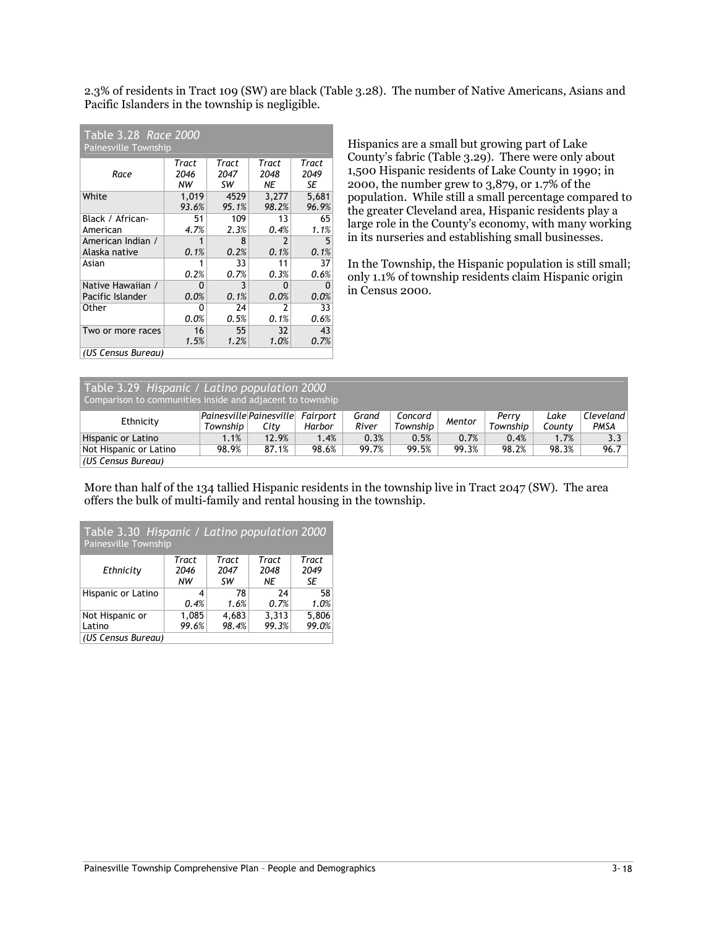2.3% of residents in Tract 109 (SW) are black (Table 3.28). The number of Native Americans, Asians and Pacific Islanders in the township is negligible.

| Table 3.28 Race 2000<br><b>Painesville Township</b> |            |            |                          |            |  |  |  |  |  |  |
|-----------------------------------------------------|------------|------------|--------------------------|------------|--|--|--|--|--|--|
|                                                     | Tract      | Tract      | Tract                    | Tract      |  |  |  |  |  |  |
| Race                                                | 2046<br>NW | 2047<br>SW | 2048<br>ΝE               | 2049<br>SE |  |  |  |  |  |  |
| White                                               | 1,019      | 4529       | 3,277                    | 5,681      |  |  |  |  |  |  |
|                                                     | 93.6%      | 95.1%      | 98.2%                    | 96.9%      |  |  |  |  |  |  |
| Black / African-                                    | 51         | 109        | 13                       | 65         |  |  |  |  |  |  |
| American                                            | 4.7%       | 2.3%       | 0.4%                     | 1.1%       |  |  |  |  |  |  |
| American Indian /                                   | 1          | 8          | $\overline{\phantom{a}}$ | 5          |  |  |  |  |  |  |
| Alaska native                                       | 0.1%       | 0.2%       | 0.1%                     | 0.1%       |  |  |  |  |  |  |
| Asian                                               | 1          | 33         | 11                       | 37         |  |  |  |  |  |  |
|                                                     | 0.2%       | 0.7%       | 0.3%                     | 0.6%       |  |  |  |  |  |  |
| Native Hawaiian /                                   | n          | 3          | O                        | O          |  |  |  |  |  |  |
| Pacific Islander                                    | 0.0%       | 0.1%       | 0.0%                     | 0.0%       |  |  |  |  |  |  |
| Other                                               | ŋ          | 24         | 2                        | 33         |  |  |  |  |  |  |
|                                                     | 0.0%       | 0.5%       | 0.1%                     | 0.6%       |  |  |  |  |  |  |
| Two or more races                                   | 16         | 55         | 32                       | 43         |  |  |  |  |  |  |
|                                                     | 1.5%       | 1.2%       | 1.0%                     | 0.7%       |  |  |  |  |  |  |
| (US Census Bureau)                                  |            |            |                          |            |  |  |  |  |  |  |

Hispanics are a small but growing part of Lake County's fabric (Table 3.29). There were only about 1,500 Hispanic residents of Lake County in 1990; in 2000, the number grew to 3,879, or 1.7% of the population. While still a small percentage compared to the greater Cleveland area, Hispanic residents play a large role in the County's economy, with many working in its nurseries and establishing small businesses.

In the Township, the Hispanic population is still small; only 1.1% of township residents claim Hispanic origin in Census 2000.

| Table 3.29 Hispanic / Latino population 2000<br>Comparison to communities inside and adjacent to township |          |                                          |        |                |                     |        |                   |                |                   |  |
|-----------------------------------------------------------------------------------------------------------|----------|------------------------------------------|--------|----------------|---------------------|--------|-------------------|----------------|-------------------|--|
| Ethnicity                                                                                                 | Township | Painesville Painesville Fairport<br>Citv | Harbor | Grand<br>River | Concord<br>Township | Mentor | Perry<br>Township | Lake<br>Countv | Cleveland<br>PMSA |  |
| Hispanic or Latino                                                                                        | 1.1%     | 12.9%                                    | 1.4%   | 0.3%           | 0.5%                | 0.7%   | 0.4%              | 1.7%           | 3.3 <sub>1</sub>  |  |
| Not Hispanic or Latino                                                                                    | 98.9%    | 87.1%                                    | 98.6%  | 99.7%          | 99.5%               | 99.3%  | 98.2%             | 98.3%          | 96.7              |  |
| (US Census Bureau)                                                                                        |          |                                          |        |                |                     |        |                   |                |                   |  |

More than half of the 134 tallied Hispanic residents in the township live in Tract 2047 (SW). The area offers the bulk of multi-family and rental housing in the township.

| Table 3.30 Hispanic / Latino population 2000<br>Painesville Township |       |       |       |       |  |  |  |  |  |  |
|----------------------------------------------------------------------|-------|-------|-------|-------|--|--|--|--|--|--|
|                                                                      | Tract | Tract | Tract | Tract |  |  |  |  |  |  |
| Ethnicity                                                            | 2046  | 2047  | 2048  | 2049  |  |  |  |  |  |  |
|                                                                      | NW    | sw    | NE    | SE    |  |  |  |  |  |  |
| Hispanic or Latino                                                   | 4     | 78    | 24    | 58    |  |  |  |  |  |  |
|                                                                      | 0.4%  | 1.6%  | 0.7%  | 1.0%  |  |  |  |  |  |  |
| Not Hispanic or                                                      | 1,085 | 4,683 | 3,313 | 5,806 |  |  |  |  |  |  |
| Latino                                                               | 99.6% | 98.4% | 99.3% | 99.0% |  |  |  |  |  |  |
| (US Census Bureau)                                                   |       |       |       |       |  |  |  |  |  |  |